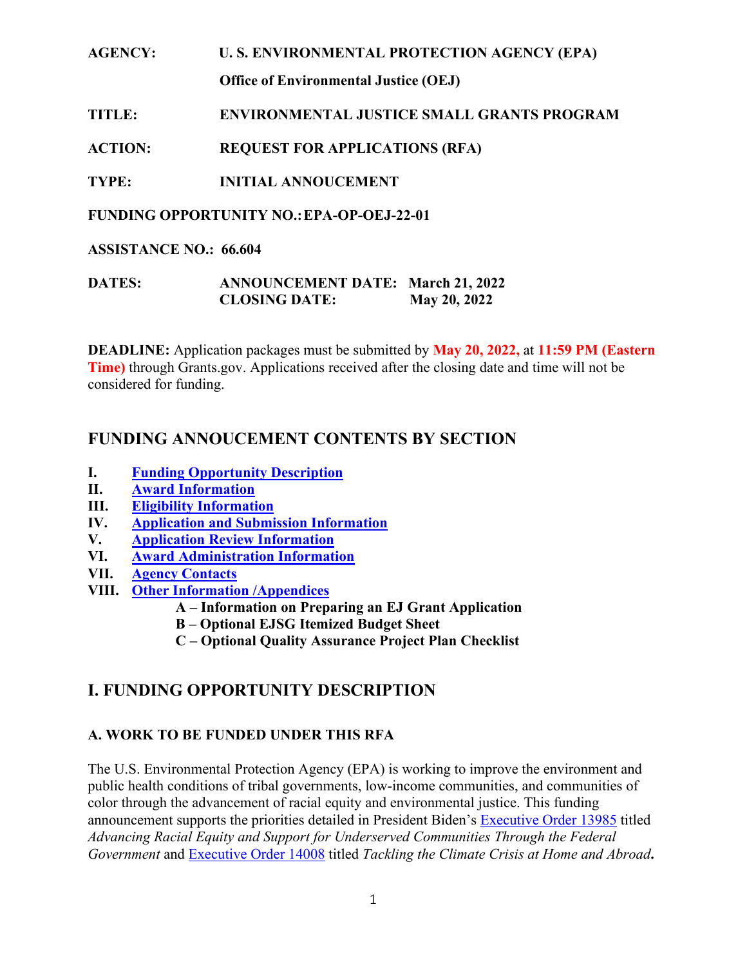#### **AGENCY: U. S. ENVIRONMENTAL PROTECTION AGENCY (EPA)**

**Office of Environmental Justice (OEJ)**

## **TITLE: ENVIRONMENTAL JUSTICE SMALL GRANTS PROGRAM**

**ACTION: REQUEST FOR APPLICATIONS (RFA)** 

**TYPE: INITIAL ANNOUCEMENT**

**FUNDING OPPORTUNITY NO.:EPA-OP-OEJ-22-01**

**ASSISTANCE NO.: 66.604**

| <b>DATES:</b> | <b>ANNOUNCEMENT DATE: March 21, 2022</b> |              |
|---------------|------------------------------------------|--------------|
|               | <b>CLOSING DATE:</b>                     | May 20, 2022 |

**DEADLINE:** Application packages must be submitted by **May 20, 2022,** at **11:59 PM (Eastern Time)** through Grants.gov. Applications received after the closing date and time will not be considered for funding.

# <span id="page-0-1"></span>**FUNDING ANNOUCEMENT CONTENTS BY SECTION**

- **I. [Funding Opportunity Description](#page-0-0)**
- **II. [Award Information](#page-8-0)**
- **III. [Eligibility Information](#page-8-1)**
- **IV. Application [and Submission Information](#page-11-0)**
- **V. Application [Review Information](#page-22-0)**
- **VI. [Award Administration Information](#page-31-0)**
- **VII. [Agency Contacts](#page-32-0)**
- **VIII. [Other Information /Appendices](#page-32-1)**
	- **A – Information on Preparing an EJ Grant Application**
	- **B – Optional EJSG Itemized Budget Sheet**
	- **C – Optional Quality Assurance Project Plan Checklist**

# <span id="page-0-0"></span>**I. FUNDING OPPORTUNITY DESCRIPTION**

## **A. WORK TO BE FUNDED UNDER THIS RFA**

The U.S. Environmental Protection Agency (EPA) is working to improve the environment and public health conditions of tribal governments, low-income communities, and communities of color through the advancement of racial equity and environmental justice. This funding announcement supports the priorities detailed in President Biden's [Executive Order 13985](https://www.federalregister.gov/documents/2021/01/25/2021-01753/advancing-racial-equity-and-support-for-underserved-communities-through-the-federal-government) titled *Advancing Racial Equity and Support for Underserved Communities Through the Federal Government* and [Executive Order 14008](https://www.federalregister.gov/documents/2021/02/01/2021-02177/tackling-the-climate-crisis-at-home-and-abroad) titled *Tackling the Climate Crisis at Home and Abroad***.**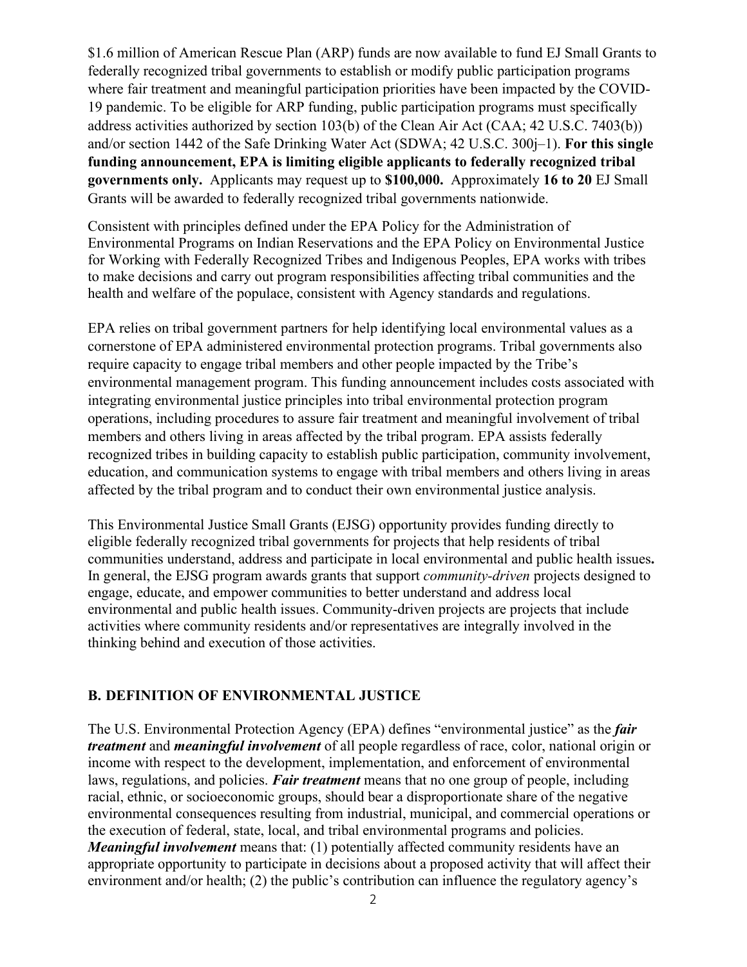\$1.6 million of American Rescue Plan (ARP) funds are now available to fund EJ Small Grants to federally recognized tribal governments to establish or modify public participation programs where fair treatment and meaningful participation priorities have been impacted by the COVID-19 pandemic. To be eligible for ARP funding, public participation programs must specifically address activities authorized by section 103(b) of the Clean Air Act (CAA; 42 U.S.C. 7403(b)) and/or section 1442 of the Safe Drinking Water Act (SDWA; 42 U.S.C. 300j–1). **For this single funding announcement, EPA is limiting eligible applicants to federally recognized tribal governments only.** Applicants may request up to **\$100,000.** Approximately **16 to 20** EJ Small Grants will be awarded to federally recognized tribal governments nationwide.

Consistent with principles defined under the EPA Policy for the Administration of Environmental Programs on Indian Reservations and the EPA Policy on Environmental Justice for Working with Federally Recognized Tribes and Indigenous Peoples, EPA works with tribes to make decisions and carry out program responsibilities affecting tribal communities and the health and welfare of the populace, consistent with Agency standards and regulations.

EPA relies on tribal government partners for help identifying local environmental values as a cornerstone of EPA administered environmental protection programs. Tribal governments also require capacity to engage tribal members and other people impacted by the Tribe's environmental management program. This funding announcement includes costs associated with integrating environmental justice principles into tribal environmental protection program operations, including procedures to assure fair treatment and meaningful involvement of tribal members and others living in areas affected by the tribal program. EPA assists federally recognized tribes in building capacity to establish public participation, community involvement, education, and communication systems to engage with tribal members and others living in areas affected by the tribal program and to conduct their own environmental justice analysis.

This Environmental Justice Small Grants (EJSG) opportunity provides funding directly to eligible federally recognized tribal governments for projects that help residents of tribal communities understand, address and participate in local environmental and public health issues**.** In general, the EJSG program awards grants that support *community-driven* projects designed to engage, educate, and empower communities to better understand and address local environmental and public health issues. Community-driven projects are projects that include activities where community residents and/or representatives are integrally involved in the thinking behind and execution of those activities.

#### **B. DEFINITION OF ENVIRONMENTAL JUSTICE**

The U.S. Environmental Protection Agency (EPA) defines "environmental justice" as the *fair treatment* and *meaningful involvement* of all people regardless of race, color, national origin or income with respect to the development, implementation, and enforcement of environmental laws, regulations, and policies. *Fair treatment* means that no one group of people, including racial, ethnic, or socioeconomic groups, should bear a disproportionate share of the negative environmental consequences resulting from industrial, municipal, and commercial operations or the execution of federal, state, local, and tribal environmental programs and policies. *Meaningful involvement* means that: (1) potentially affected community residents have an appropriate opportunity to participate in decisions about a proposed activity that will affect their environment and/or health; (2) the public's contribution can influence the regulatory agency's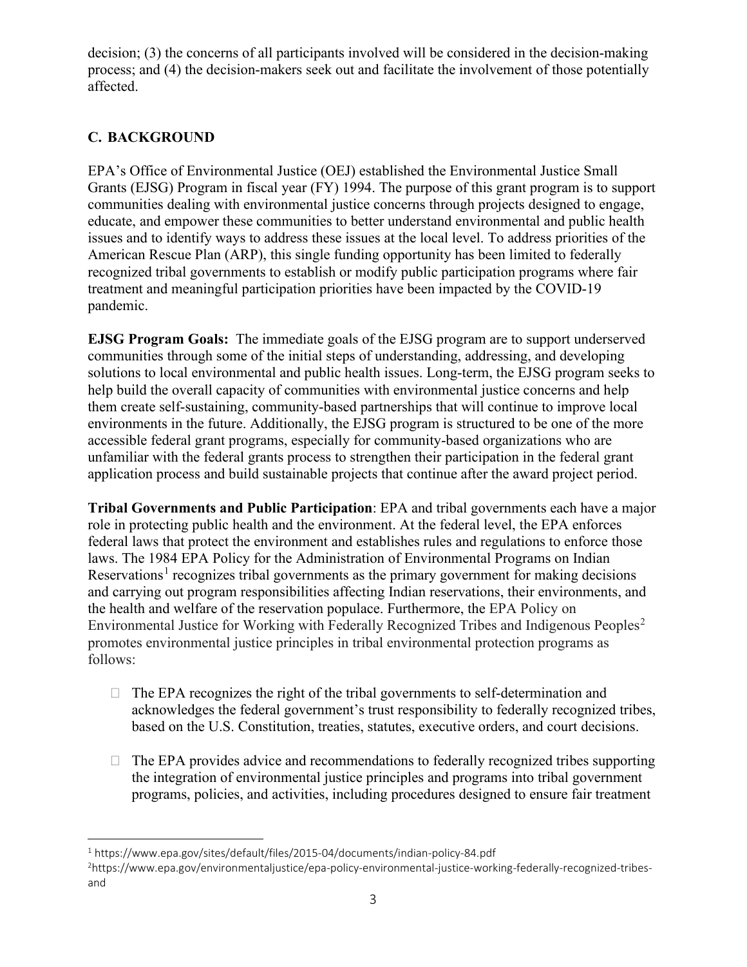decision; (3) the concerns of all participants involved will be considered in the decision-making process; and (4) the decision-makers seek out and facilitate the involvement of those potentially affected.

## **C. BACKGROUND**

EPA's Office of Environmental Justice (OEJ) established the Environmental Justice Small Grants (EJSG) Program in fiscal year (FY) 1994. The purpose of this grant program is to support communities dealing with environmental justice concerns through projects designed to engage, educate, and empower these communities to better understand environmental and public health issues and to identify ways to address these issues at the local level. To address priorities of the American Rescue Plan (ARP), this single funding opportunity has been limited to federally recognized tribal governments to establish or modify public participation programs where fair treatment and meaningful participation priorities have been impacted by the COVID-19 pandemic.

**EJSG Program Goals:** The immediate goals of the EJSG program are to support underserved communities through some of the initial steps of understanding, addressing, and developing solutions to local environmental and public health issues. Long-term, the EJSG program seeks to help build the overall capacity of communities with environmental justice concerns and help them create self-sustaining, community-based partnerships that will continue to improve local environments in the future. Additionally, the EJSG program is structured to be one of the more accessible federal grant programs, especially for community-based organizations who are unfamiliar with the federal grants process to strengthen their participation in the federal grant application process and build sustainable projects that continue after the award project period.

**Tribal Governments and Public Participation**: EPA and tribal governments each have a major role in protecting public health and the environment. At the federal level, the EPA enforces federal laws that protect the environment and establishes rules and regulations to enforce those laws. The 1984 EPA Policy for the Administration of Environmental Programs on Indian Reservations<sup>[1](#page-2-0)</sup> recognizes tribal governments as the primary government for making decisions and carrying out program responsibilities affecting Indian reservations, their environments, and the health and welfare of the reservation populace. Furthermore, the EPA Policy on Environmental Justice for Working with Federally Recognized Tribes and Indigenous Peoples<sup>[2](#page-2-1)</sup> promotes environmental justice principles in tribal environmental protection programs as follows:

- $\Box$  The EPA recognizes the right of the tribal governments to self-determination and acknowledges the federal government's trust responsibility to federally recognized tribes, based on the U.S. Constitution, treaties, statutes, executive orders, and court decisions.
- $\Box$  The EPA provides advice and recommendations to federally recognized tribes supporting the integration of environmental justice principles and programs into tribal government programs, policies, and activities, including procedures designed to ensure fair treatment

<span id="page-2-0"></span><sup>1</sup> https://www.epa.gov/sites/default/files/2015-04/documents/indian-policy-84.pdf

<span id="page-2-1"></span><sup>2</sup> https://www.epa.gov/environmentaljustice/epa-policy-environmental-justice-working-federally-recognized-tribesand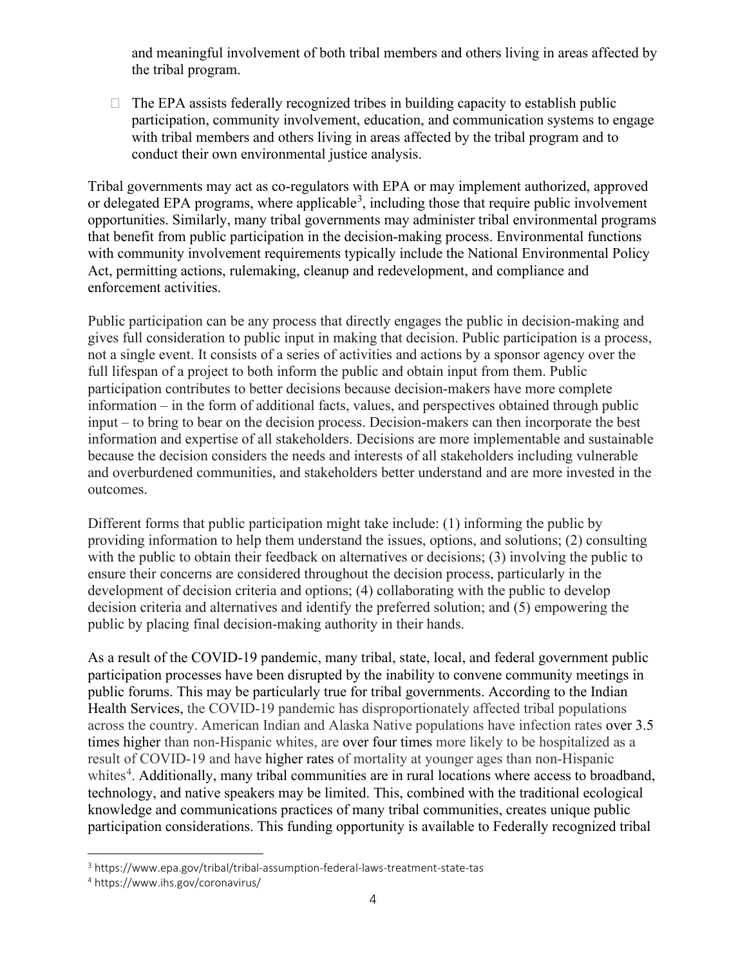and meaningful involvement of both tribal members and others living in areas affected by the tribal program.

 $\Box$  The EPA assists federally recognized tribes in building capacity to establish public participation, community involvement, education, and communication systems to engage with tribal members and others living in areas affected by the tribal program and to conduct their own environmental justice analysis.

Tribal governments may act as co-regulators with EPA or may implement authorized, approved or delegated EPA programs, where applicable<sup>[3](#page-3-0)</sup>, including those that require public involvement opportunities. Similarly, many tribal governments may administer tribal environmental programs that benefit from public participation in the decision-making process. Environmental functions with community involvement requirements typically include the National Environmental Policy Act, permitting actions, rulemaking, cleanup and redevelopment, and compliance and enforcement activities.

Public participation can be any process that directly engages the public in decision-making and gives full consideration to public input in making that decision. Public participation is a process, not a single event. It consists of a series of activities and actions by a sponsor agency over the full lifespan of a project to both inform the public and obtain input from them. Public participation contributes to better decisions because decision-makers have more complete information – in the form of additional facts, values, and perspectives obtained through public input – to bring to bear on the decision process. Decision-makers can then incorporate the best information and expertise of all stakeholders. Decisions are more implementable and sustainable because the decision considers the needs and interests of all stakeholders including vulnerable and overburdened communities, and stakeholders better understand and are more invested in the outcomes.

Different forms that public participation might take include: (1) informing the public by providing information to help them understand the issues, options, and solutions; (2) consulting with the public to obtain their feedback on alternatives or decisions; (3) involving the public to ensure their concerns are considered throughout the decision process, particularly in the development of decision criteria and options; (4) collaborating with the public to develop decision criteria and alternatives and identify the preferred solution; and (5) empowering the public by placing final decision-making authority in their hands.

As a result of the COVID-19 pandemic, many tribal, state, local, and federal government public participation processes have been disrupted by the inability to convene community meetings in public forums. This may be particularly true for tribal governments. According to the Indian Health Services, the COVID-19 pandemic has disproportionately affected tribal populations across the country. American Indian and Alaska Native populations have infection rates over 3.5 times higher than non-Hispanic whites, are over four times more likely to be hospitalized as a result of COVID-19 and have higher rates of mortality at younger ages than non-Hispanic whites<sup>[4](#page-3-1)</sup>. Additionally, many tribal communities are in rural locations where access to broadband, technology, and native speakers may be limited. This, combined with the traditional ecological knowledge and communications practices of many tribal communities, creates unique public participation considerations. This funding opportunity is available to Federally recognized tribal

<span id="page-3-0"></span><sup>3</sup> https://www.epa.gov/tribal/tribal-assumption-federal-laws-treatment-state-tas

<span id="page-3-1"></span><sup>4</sup> https://www.ihs.gov/coronavirus/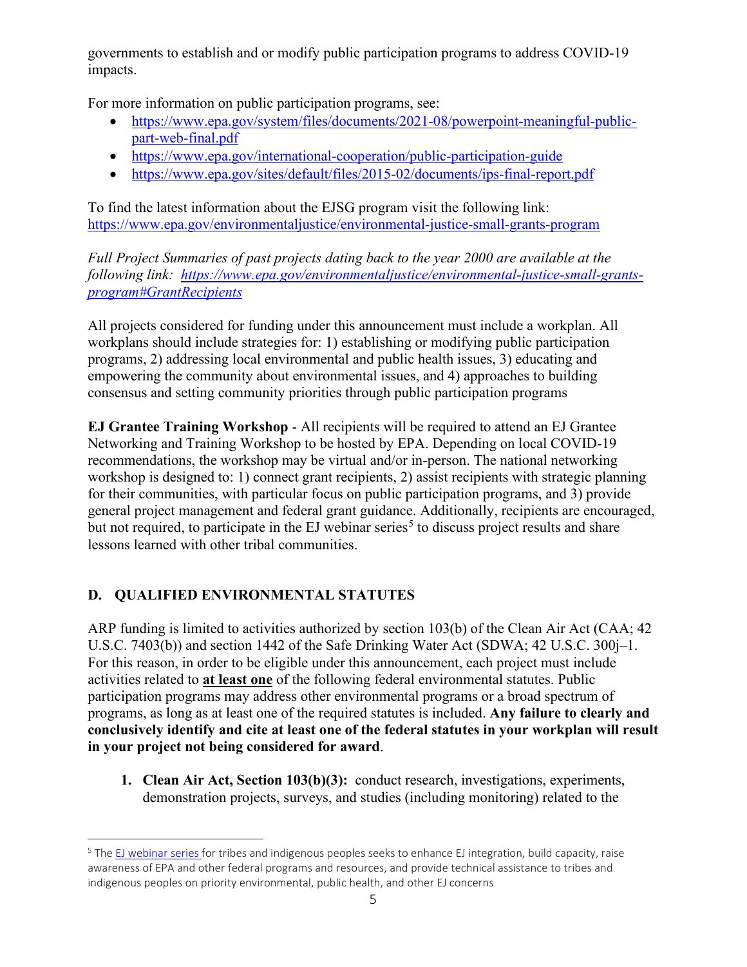governments to establish and or modify public participation programs to address COVID-19 impacts.

For more information on public participation programs, see:

- [https://www.epa.gov/system/files/documents/2021-08/powerpoint-meaningful-public](https://www.epa.gov/system/files/documents/2021-08/powerpoint-meaningful-public-part-web-final.pdf)[part-web-final.pdf](https://www.epa.gov/system/files/documents/2021-08/powerpoint-meaningful-public-part-web-final.pdf)
- <https://www.epa.gov/international-cooperation/public-participation-guide>
- <https://www.epa.gov/sites/default/files/2015-02/documents/ips-final-report.pdf>

To find the latest information about the EJSG program visit the following link: <https://www.epa.gov/environmentaljustice/environmental-justice-small-grants-program>

*Full Project Summaries of past projects dating back to the year 2000 are available at the following link: [https://www.epa.gov/environmentaljustice/environmental-justice-small-grants](https://www.epa.gov/environmentaljustice/environmental-justice-small-grants-program#GrantRecipients)[program#GrantRecipients](https://www.epa.gov/environmentaljustice/environmental-justice-small-grants-program#GrantRecipients)*

All projects considered for funding under this announcement must include a workplan. All workplans should include strategies for: 1) establishing or modifying public participation programs, 2) addressing local environmental and public health issues, 3) educating and empowering the community about environmental issues, and 4) approaches to building consensus and setting community priorities through public participation programs

**EJ Grantee Training Workshop** - All recipients will be required to attend an EJ Grantee Networking and Training Workshop to be hosted by EPA. Depending on local COVID-19 recommendations, the workshop may be virtual and/or in-person. The national networking workshop is designed to: 1) connect grant recipients, 2) assist recipients with strategic planning for their communities, with particular focus on public participation programs, and 3) provide general project management and federal grant guidance. Additionally, recipients are encouraged, but not required, to participate in the EJ webinar series<sup>[5](#page-4-0)</sup> to discuss project results and share lessons learned with other tribal communities.

## **D. QUALIFIED ENVIRONMENTAL STATUTES**

ARP funding is limited to activities authorized by section 103(b) of the Clean Air Act (CAA; 42 U.S.C. 7403(b)) and section 1442 of the Safe Drinking Water Act (SDWA; 42 U.S.C. 300j–1. For this reason, in order to be eligible under this announcement, each project must include activities related to **at least one** of the following federal environmental statutes. Public participation programs may address other environmental programs or a broad spectrum of programs, as long as at least one of the required statutes is included. **Any failure to clearly and conclusively identify and cite at least one of the federal statutes in your workplan will result in your project not being considered for award**.

**1. Clean Air Act, Section 103(b)(3):** conduct research, investigations, experiments, demonstration projects, surveys, and studies (including monitoring) related to the

<span id="page-4-0"></span><sup>&</sup>lt;sup>5</sup> The [EJ webinar series](https://www.epa.gov/environmentaljustice/environmental-justice-tribes-and-indigenous-peoples#:%7E:text=The%20EJ%20webinar%20series%20for,health%2C%20and%20other%20EJ%20concerns.) for tribes and indigenous peoples seeks to enhance EJ integration, build capacity, raise awareness of EPA and other federal programs and resources, and provide technical assistance to tribes and indigenous peoples on priority environmental, public health, and other EJ concerns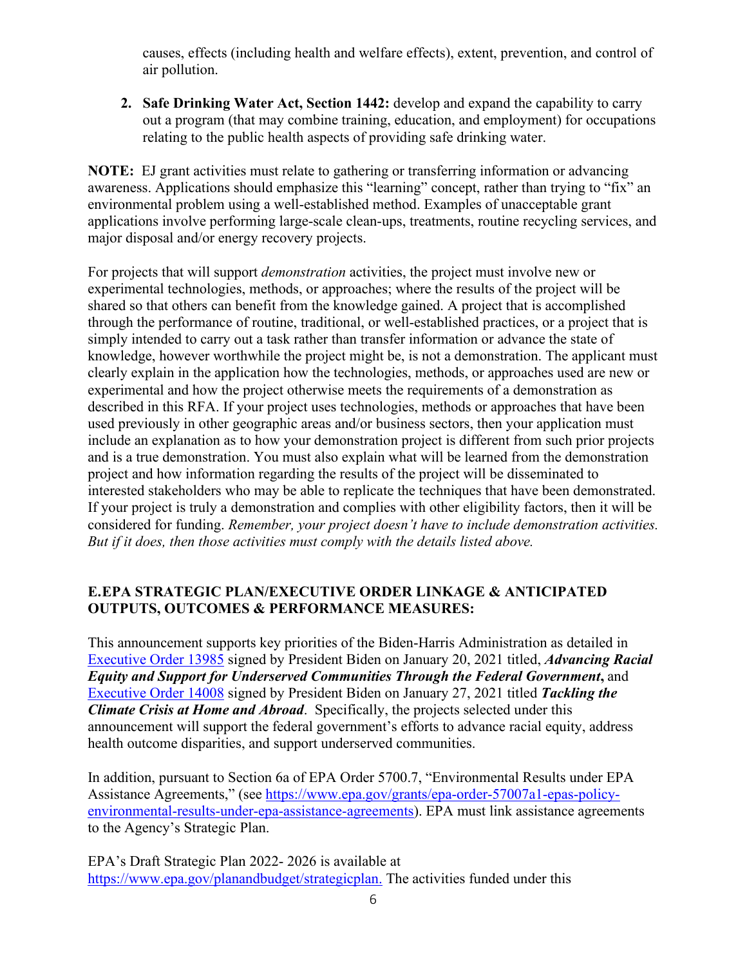causes, effects (including health and welfare effects), extent, prevention, and control of air pollution.

**2. Safe Drinking Water Act, Section 1442:** develop and expand the capability to carry out a program (that may combine training, education, and employment) for occupations relating to the public health aspects of providing safe drinking water.

**NOTE:** EJ grant activities must relate to gathering or transferring information or advancing awareness. Applications should emphasize this "learning" concept, rather than trying to "fix" an environmental problem using a well-established method. Examples of unacceptable grant applications involve performing large-scale clean-ups, treatments, routine recycling services, and major disposal and/or energy recovery projects.

For projects that will support *demonstration* activities, the project must involve new or experimental technologies, methods, or approaches; where the results of the project will be shared so that others can benefit from the knowledge gained. A project that is accomplished through the performance of routine, traditional, or well-established practices, or a project that is simply intended to carry out a task rather than transfer information or advance the state of knowledge, however worthwhile the project might be, is not a demonstration. The applicant must clearly explain in the application how the technologies, methods, or approaches used are new or experimental and how the project otherwise meets the requirements of a demonstration as described in this RFA. If your project uses technologies, methods or approaches that have been used previously in other geographic areas and/or business sectors, then your application must include an explanation as to how your demonstration project is different from such prior projects and is a true demonstration. You must also explain what will be learned from the demonstration project and how information regarding the results of the project will be disseminated to interested stakeholders who may be able to replicate the techniques that have been demonstrated. If your project is truly a demonstration and complies with other eligibility factors, then it will be considered for funding. *Remember, your project doesn't have to include demonstration activities. But if it does, then those activities must comply with the details listed above.*

### **E.EPA STRATEGIC PLAN/EXECUTIVE ORDER LINKAGE & ANTICIPATED OUTPUTS, OUTCOMES & PERFORMANCE MEASURES:**

This announcement supports key priorities of the Biden-Harris Administration as detailed in [Executive Order 13985](https://www.federalregister.gov/documents/2021/01/25/2021-01753/advancing-racial-equity-and-support-for-underserved-communities-through-the-federal-government) signed by President Biden on January 20, 2021 titled, *Advancing Racial Equity and Support for Underserved Communities Through the Federal Government***,** and [Executive Order 14008](https://www.federalregister.gov/documents/2021/02/01/2021-02177/tackling-the-climate-crisis-at-home-and-abroad) signed by President Biden on January 27, 2021 titled *Tackling the Climate Crisis at Home and Abroad*. Specifically, the projects selected under this announcement will support the federal government's efforts to advance racial equity, address health outcome disparities, and support underserved communities.

In addition, pursuant to Section 6a of EPA Order 5700.7, "Environmental Results under EPA Assistance Agreements," (see [https://www.epa.gov/grants/epa-order-57007a1-epas-policy](https://www.epa.gov/grants/epa-order-57007a1-epas-policy-environmental-results-under-epa-assistance-agreements)[environmental-results-under-epa-assistance-agreements\)](https://www.epa.gov/grants/epa-order-57007a1-epas-policy-environmental-results-under-epa-assistance-agreements). EPA must link assistance agreements to the Agency's Strategic Plan.

EPA's Draft Strategic Plan 2022- 2026 is available at [https://www.epa.gov/planandbudget/strategicplan.](https://www.epa.gov/planandbudget/strategicplan) The activities funded under this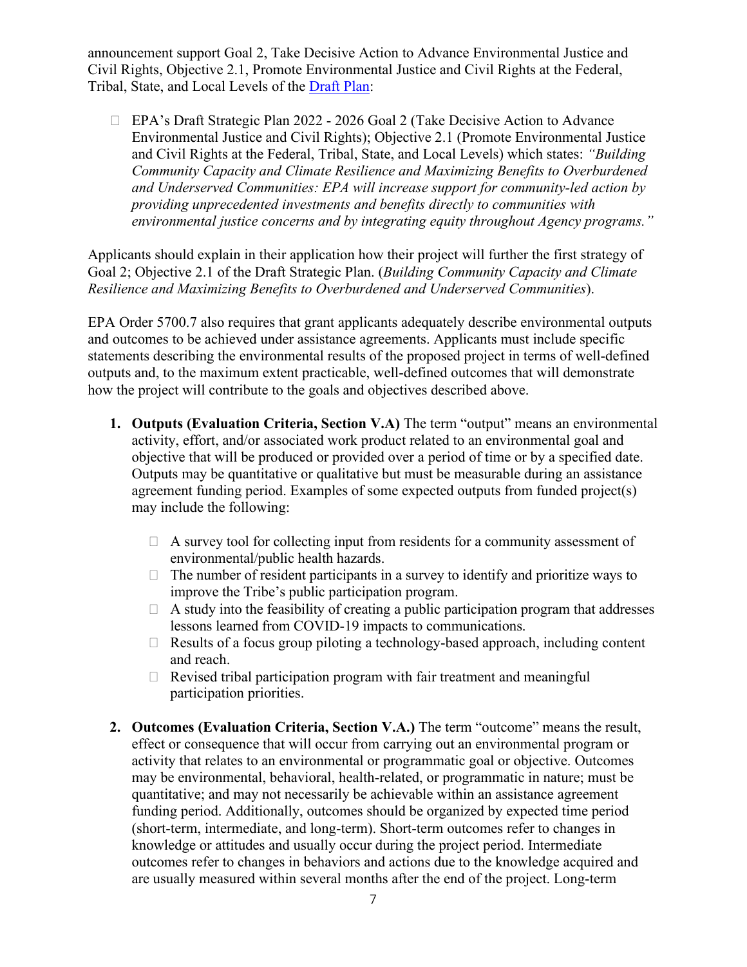announcement support Goal 2, Take Decisive Action to Advance Environmental Justice and Civil Rights, Objective 2.1, Promote Environmental Justice and Civil Rights at the Federal, Tribal, State, and Local Levels of the [Draft Plan:](https://www.epa.gov/planandbudget/strategicplan)

 EPA's Draft Strategic Plan 2022 - 2026 Goal 2 (Take Decisive Action to Advance Environmental Justice and Civil Rights); Objective 2.1 (Promote Environmental Justice and Civil Rights at the Federal, Tribal, State, and Local Levels) which states: *"Building Community Capacity and Climate Resilience and Maximizing Benefits to Overburdened and Underserved Communities: EPA will increase support for community-led action by providing unprecedented investments and benefits directly to communities with environmental justice concerns and by integrating equity throughout Agency programs."*

Applicants should explain in their application how their project will further the first strategy of Goal 2; Objective 2.1 of the Draft Strategic Plan. (*Building Community Capacity and Climate Resilience and Maximizing Benefits to Overburdened and Underserved Communities*).

EPA Order 5700.7 also requires that grant applicants adequately describe environmental outputs and outcomes to be achieved under assistance agreements. Applicants must include specific statements describing the environmental results of the proposed project in terms of well-defined outputs and, to the maximum extent practicable, well-defined outcomes that will demonstrate how the project will contribute to the goals and objectives described above.

- **1. Outputs (Evaluation Criteria, Section V.A)** The term "output" means an environmental activity, effort, and/or associated work product related to an environmental goal and objective that will be produced or provided over a period of time or by a specified date. Outputs may be quantitative or qualitative but must be measurable during an assistance agreement funding period. Examples of some expected outputs from funded project(s) may include the following:
	- $\Box$  A survey tool for collecting input from residents for a community assessment of environmental/public health hazards.
	- $\Box$  The number of resident participants in a survey to identify and prioritize ways to improve the Tribe's public participation program.
	- $\Box$  A study into the feasibility of creating a public participation program that addresses lessons learned from COVID-19 impacts to communications.
	- $\Box$  Results of a focus group piloting a technology-based approach, including content and reach.
	- $\Box$  Revised tribal participation program with fair treatment and meaningful participation priorities.
- **2. Outcomes (Evaluation Criteria, Section V.A.)** The term "outcome" means the result, effect or consequence that will occur from carrying out an environmental program or activity that relates to an environmental or programmatic goal or objective. Outcomes may be environmental, behavioral, health-related, or programmatic in nature; must be quantitative; and may not necessarily be achievable within an assistance agreement funding period. Additionally, outcomes should be organized by expected time period (short-term, intermediate, and long-term). Short-term outcomes refer to changes in knowledge or attitudes and usually occur during the project period. Intermediate outcomes refer to changes in behaviors and actions due to the knowledge acquired and are usually measured within several months after the end of the project. Long-term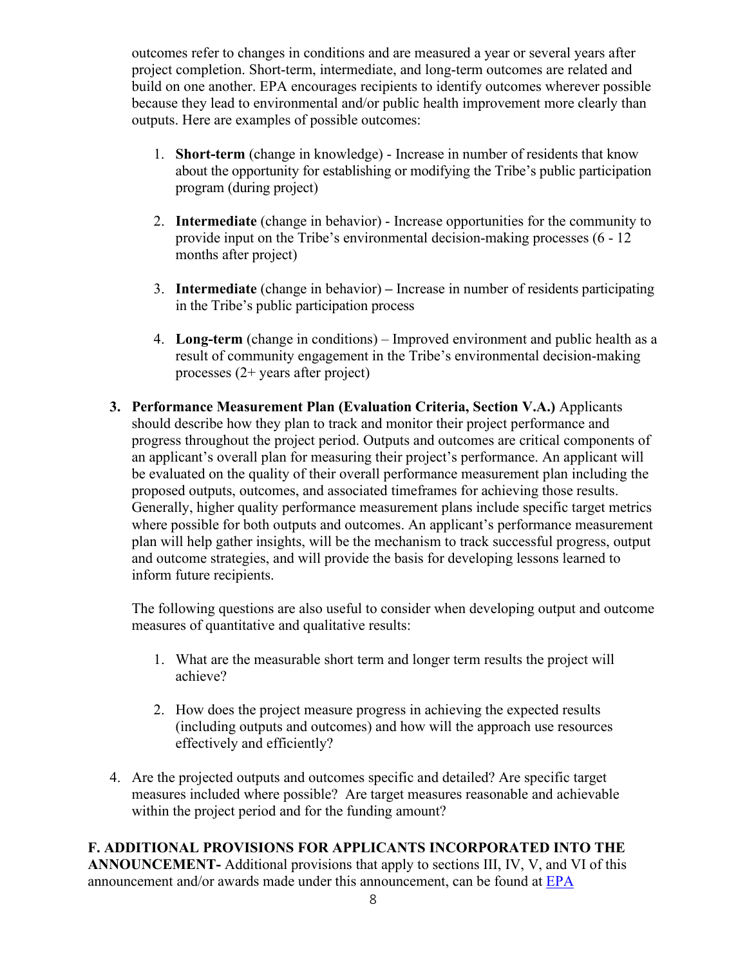outcomes refer to changes in conditions and are measured a year or several years after project completion. Short-term, intermediate, and long-term outcomes are related and build on one another. EPA encourages recipients to identify outcomes wherever possible because they lead to environmental and/or public health improvement more clearly than outputs. Here are examples of possible outcomes:

- 1. **Short-term** (change in knowledge) Increase in number of residents that know about the opportunity for establishing or modifying the Tribe's public participation program (during project)
- 2. **Intermediate** (change in behavior) Increase opportunities for the community to provide input on the Tribe's environmental decision-making processes (6 - 12 months after project)
- 3. **Intermediate** (change in behavior) **–** Increase in number of residents participating in the Tribe's public participation process
- 4. **Long-term** (change in conditions) Improved environment and public health as a result of community engagement in the Tribe's environmental decision-making processes (2+ years after project)
- **3. Performance Measurement Plan (Evaluation Criteria, Section V.A.)** Applicants should describe how they plan to track and monitor their project performance and progress throughout the project period. Outputs and outcomes are critical components of an applicant's overall plan for measuring their project's performance. An applicant will be evaluated on the quality of their overall performance measurement plan including the proposed outputs, outcomes, and associated timeframes for achieving those results. Generally, higher quality performance measurement plans include specific target metrics where possible for both outputs and outcomes. An applicant's performance measurement plan will help gather insights, will be the mechanism to track successful progress, output and outcome strategies, and will provide the basis for developing lessons learned to inform future recipients.

The following questions are also useful to consider when developing output and outcome measures of quantitative and qualitative results:

- 1. What are the measurable short term and longer term results the project will achieve?
- 2. How does the project measure progress in achieving the expected results (including outputs and outcomes) and how will the approach use resources effectively and efficiently?
- 4. Are the projected outputs and outcomes specific and detailed? Are specific target measures included where possible? Are target measures reasonable and achievable within the project period and for the funding amount?

## **F. ADDITIONAL PROVISIONS FOR APPLICANTS INCORPORATED INTO THE**

**ANNOUNCEMENT-** Additional provisions that apply to sections III, IV, V, and VI of this announcement and/or awards made under this announcement, can be found at [EPA](https://www.epa.gov/grants/epa-solicitation-clauses)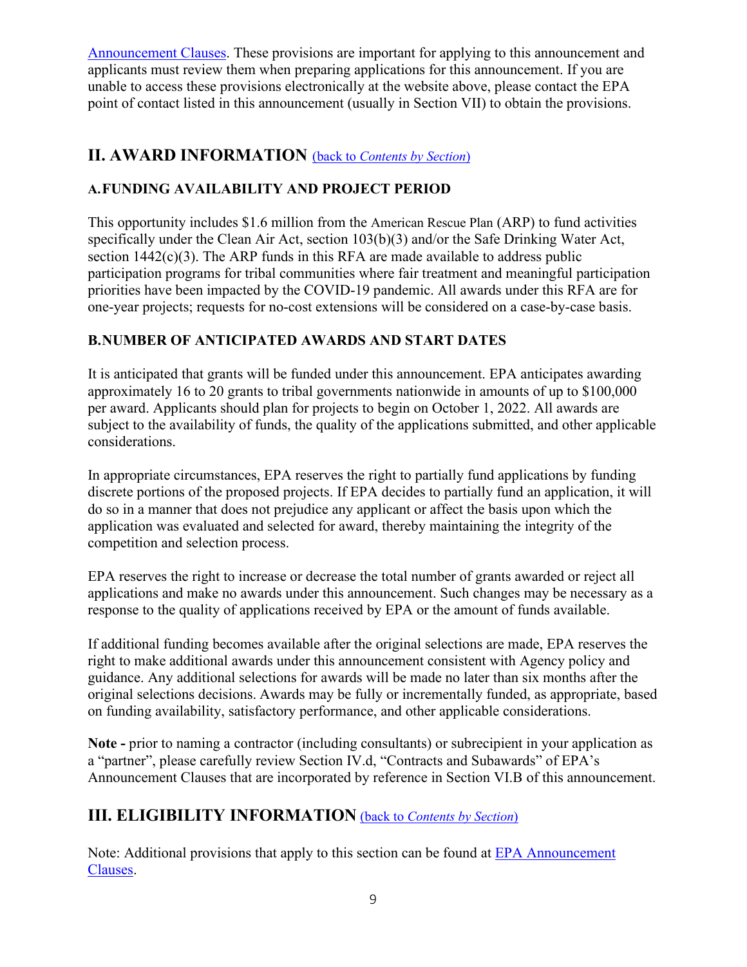[Announcement](https://www.epa.gov/grants/epa-solicitation-clauses) Clauses. These provisions are important for applying to this announcement and applicants must review them when preparing applications for this announcement. If you are unable to access these provisions electronically at the website above, please contact the EPA point of contact listed in this announcement (usually in Section VII) to obtain the provisions.

## <span id="page-8-0"></span>**II. AWARD INFORMATION** (back to *[Contents by Section](#page-0-1)*)

## **A.FUNDING AVAILABILITY AND PROJECT PERIOD**

This opportunity includes \$1.6 million from the American Rescue Plan (ARP) to fund activities specifically under the Clean Air Act, section 103(b)(3) and/or the Safe Drinking Water Act, section  $1442(c)(3)$ . The ARP funds in this RFA are made available to address public participation programs for tribal communities where fair treatment and meaningful participation priorities have been impacted by the COVID-19 pandemic. All awards under this RFA are for one-year projects; requests for no-cost extensions will be considered on a case-by-case basis.

## **B.NUMBER OF ANTICIPATED AWARDS AND START DATES**

It is anticipated that grants will be funded under this announcement. EPA anticipates awarding approximately 16 to 20 grants to tribal governments nationwide in amounts of up to \$100,000 per award. Applicants should plan for projects to begin on October 1, 2022. All awards are subject to the availability of funds, the quality of the applications submitted, and other applicable considerations.

In appropriate circumstances, EPA reserves the right to partially fund applications by funding discrete portions of the proposed projects. If EPA decides to partially fund an application, it will do so in a manner that does not prejudice any applicant or affect the basis upon which the application was evaluated and selected for award, thereby maintaining the integrity of the competition and selection process.

EPA reserves the right to increase or decrease the total number of grants awarded or reject all applications and make no awards under this announcement. Such changes may be necessary as a response to the quality of applications received by EPA or the amount of funds available.

If additional funding becomes available after the original selections are made, EPA reserves the right to make additional awards under this announcement consistent with Agency policy and guidance. Any additional selections for awards will be made no later than six months after the original selections decisions. Awards may be fully or incrementally funded, as appropriate, based on funding availability, satisfactory performance, and other applicable considerations.

**Note -** prior to naming a contractor (including consultants) or subrecipient in your application as a "partner", please carefully review Section IV.d, "Contracts and Subawards" of EPA's Announcement Clauses that are incorporated by reference in Section VI.B of this announcement.

## <span id="page-8-1"></span>**III. ELIGIBILITY INFORMATION** (back to *[Contents by Section](#page-0-1)*)

Note: Additional provisions that apply to this section can be found at [EPA Announcement](https://www.epa.gov/grants/epa-solicitation-clauses) [Clauses.](https://www.epa.gov/grants/epa-solicitation-clauses)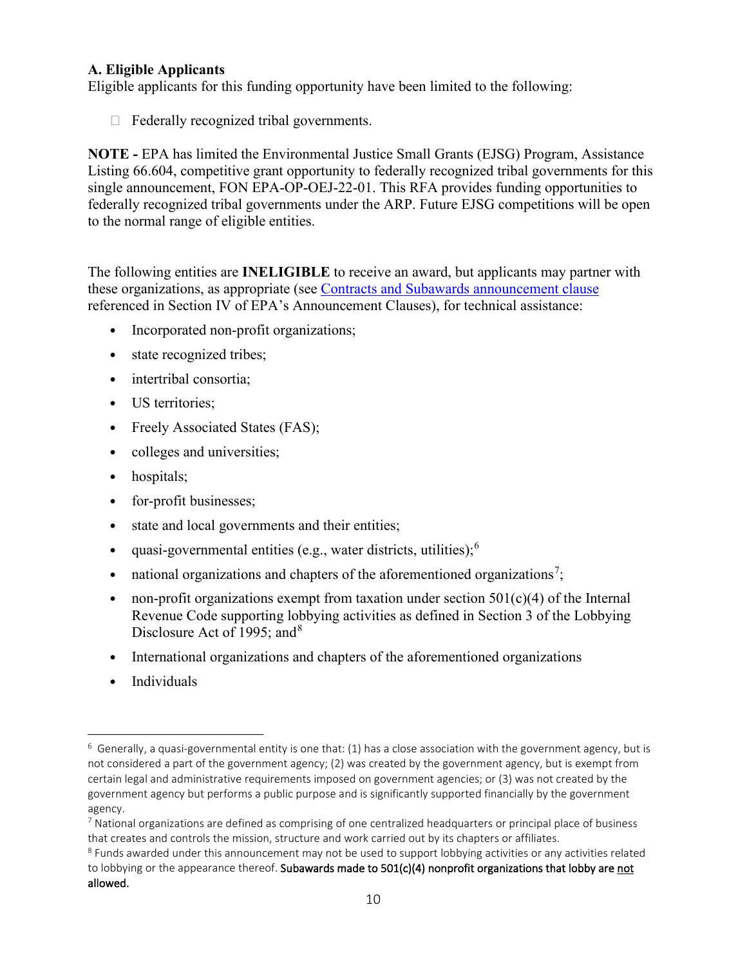#### **A. Eligible Applicants**

Eligible applicants for this funding opportunity have been limited to the following:

 $\Box$  Federally recognized tribal governments.

**NOTE -** EPA has limited the Environmental Justice Small Grants (EJSG) Program, Assistance Listing 66.604, competitive grant opportunity to federally recognized tribal governments for this single announcement, FON EPA-OP-OEJ-22-01. This RFA provides funding opportunities to federally recognized tribal governments under the ARP. Future EJSG competitions will be open to the normal range of eligible entities.

The following entities are **INELIGIBLE** to receive an award, but applicants may partner with these organizations, as appropriate (see [Contracts and Subawards announcement](https://www.epa.gov/grants/epa-solicitation-clauses#contractssubawards) clause referenced in Section IV of EPA's Announcement Clauses), for technical assistance:

- Incorporated non-profit organizations;
- state recognized tribes;
- intertribal consortia;
- US territories;
- Freely Associated States (FAS);
- colleges and universities;
- hospitals;
- for-profit businesses;
- state and local governments and their entities;
- quasi-governmental entities (e.g., water districts, utilities);[6](#page-9-0)
- national organizations and chapters of the aforementioned organizations<sup>[7](#page-9-1)</sup>;
- non-profit organizations exempt from taxation under section  $501(c)(4)$  of the Internal Revenue Code supporting lobbying activities as defined in Section 3 of the Lobbying Disclosure Act of 1995; and<sup>[8](#page-9-2)</sup>
- International organizations and chapters of the aforementioned organizations
- Individuals

<span id="page-9-0"></span> $6$  Generally, a quasi-governmental entity is one that: (1) has a close association with the government agency, but is not considered a part of the government agency; (2) was created by the government agency, but is exempt from certain legal and administrative requirements imposed on government agencies; or (3) was not created by the government agency but performs a public purpose and is significantly supported financially by the government agency.

<span id="page-9-1"></span><sup>&</sup>lt;sup>7</sup> National organizations are defined as comprising of one centralized headquarters or principal place of business that creates and controls the mission, structure and work carried out by its chapters or affiliates.

<span id="page-9-2"></span><sup>&</sup>lt;sup>8</sup> Funds awarded under this announcement may not be used to support lobbying activities or any activities related to lobbying or the appearance thereof. Subawards made to 501(c)(4) nonprofit organizations that lobby are not allowed.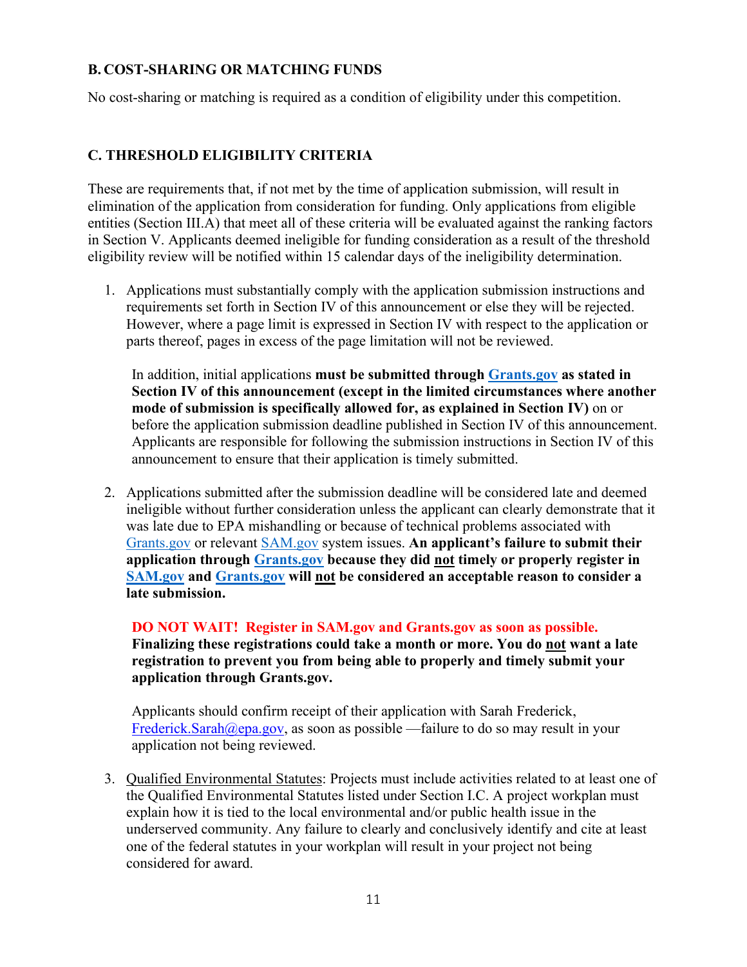#### **B. COST-SHARING OR MATCHING FUNDS**

No cost-sharing or matching is required as a condition of eligibility under this competition.

### **C. THRESHOLD ELIGIBILITY CRITERIA**

These are requirements that, if not met by the time of application submission, will result in elimination of the application from consideration for funding. Only applications from eligible entities (Section III.A) that meet all of these criteria will be evaluated against the ranking factors in Section V. Applicants deemed ineligible for funding consideration as a result of the threshold eligibility review will be notified within 15 calendar days of the ineligibility determination.

1. Applications must substantially comply with the application submission instructions and requirements set forth in Section IV of this announcement or else they will be rejected. However, where a page limit is expressed in Section IV with respect to the application or parts thereof, pages in excess of the page limitation will not be reviewed.

In addition, initial applications **must be submitted through [Grants.gov](http://www.sam.gov/) as stated in Section IV of this announcement (except in the limited circumstances where another mode of submission is specifically allowed for, as explained in Section IV)** on or before the application submission deadline published in Section IV of this announcement. Applicants are responsible for following the submission instructions in Section IV of this announcement to ensure that their application is timely submitted.

2. Applications submitted after the submission deadline will be considered late and deemed ineligible without further consideration unless the applicant can clearly demonstrate that it was late due to EPA mishandling or because of technical problems associated with [Grants.gov](http://grants.gov/) or relevant [SAM.gov](http://www.sam.gov/) system issues. **An applicant's failure to submit their application through [Grants.gov](http://www.grants.gov/) because they did not timely or properly register in [SAM.gov](http://www.sam.gov/) and [Grants.gov](http://grants.gov/) will not be considered an acceptable reason to consider a late submission.** 

**DO NOT WAIT! Register in SAM.gov and Grants.gov as soon as possible. Finalizing these registrations could take a month or more. You do not want a late registration to prevent you from being able to properly and timely submit your application through Grants.gov.** 

Applicants should confirm receipt of their application with Sarah Frederick, [Frederick.Sarah@epa.gov,](mailto:Frederick.Sarah@epa.gov) as soon as possible —failure to do so may result in your application not being reviewed.

3. Qualified Environmental Statutes: Projects must include activities related to at least one of the Qualified Environmental Statutes listed under Section I.C. A project workplan must explain how it is tied to the local environmental and/or public health issue in the underserved community. Any failure to clearly and conclusively identify and cite at least one of the federal statutes in your workplan will result in your project not being considered for award.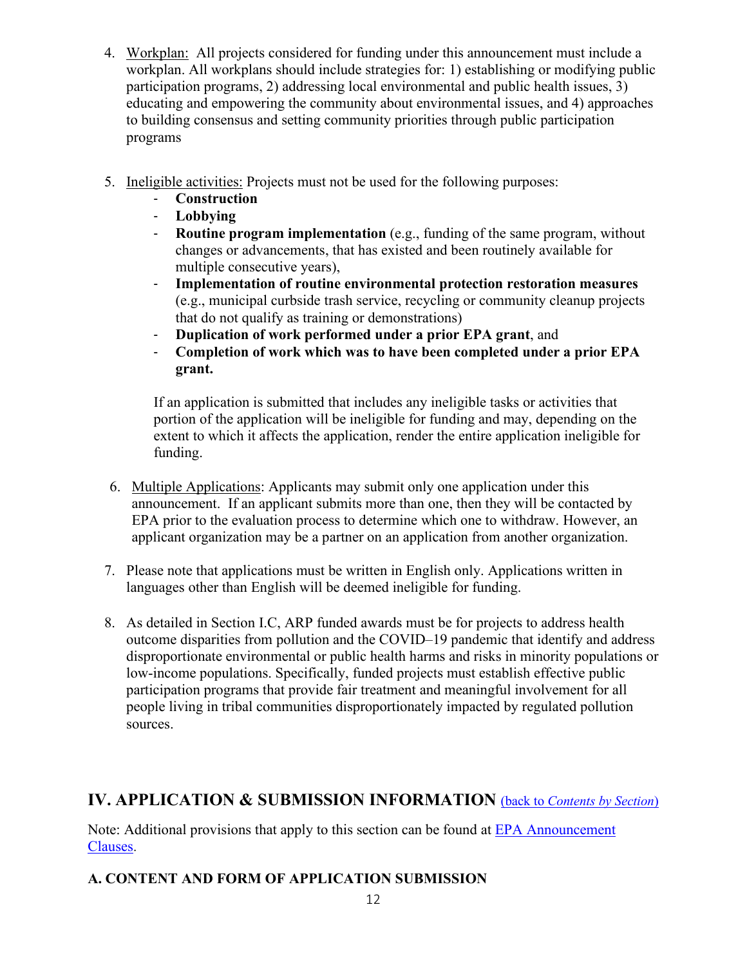- 4. Workplan: All projects considered for funding under this announcement must include a workplan. All workplans should include strategies for: 1) establishing or modifying public participation programs, 2) addressing local environmental and public health issues, 3) educating and empowering the community about environmental issues, and 4) approaches to building consensus and setting community priorities through public participation programs
- 5. Ineligible activities: Projects must not be used for the following purposes:
	- **Construction**
	- **Lobbying**
	- **Routine program implementation** (e.g., funding of the same program, without changes or advancements, that has existed and been routinely available for multiple consecutive years),
	- **Implementation of routine environmental protection restoration measures** (e.g., municipal curbside trash service, recycling or community cleanup projects that do not qualify as training or demonstrations)
	- **Duplication of work performed under a prior EPA grant**, and
	- **Completion of work which was to have been completed under a prior EPA grant.**

If an application is submitted that includes any ineligible tasks or activities that portion of the application will be ineligible for funding and may, depending on the extent to which it affects the application, render the entire application ineligible for funding.

- 6. Multiple Applications: Applicants may submit only one application under this announcement. If an applicant submits more than one, then they will be contacted by EPA prior to the evaluation process to determine which one to withdraw. However, an applicant organization may be a partner on an application from another organization.
- 7. Please note that applications must be written in English only. Applications written in languages other than English will be deemed ineligible for funding.
- 8. As detailed in Section I.C, ARP funded awards must be for projects to address health outcome disparities from pollution and the COVID–19 pandemic that identify and address disproportionate environmental or public health harms and risks in minority populations or low-income populations. Specifically, funded projects must establish effective public participation programs that provide fair treatment and meaningful involvement for all people living in tribal communities disproportionately impacted by regulated pollution sources.

# <span id="page-11-0"></span>**IV. APPLICATION & SUBMISSION INFORMATION** (back to *[Contents by Section](#page-0-1)*)

Note: Additional provisions that apply to this section can be found at [EPA Announcement](https://www.epa.gov/grants/epa-solicitation-clauses) [Clauses.](https://www.epa.gov/grants/epa-solicitation-clauses)

## **A. CONTENT AND FORM OF APPLICATION SUBMISSION**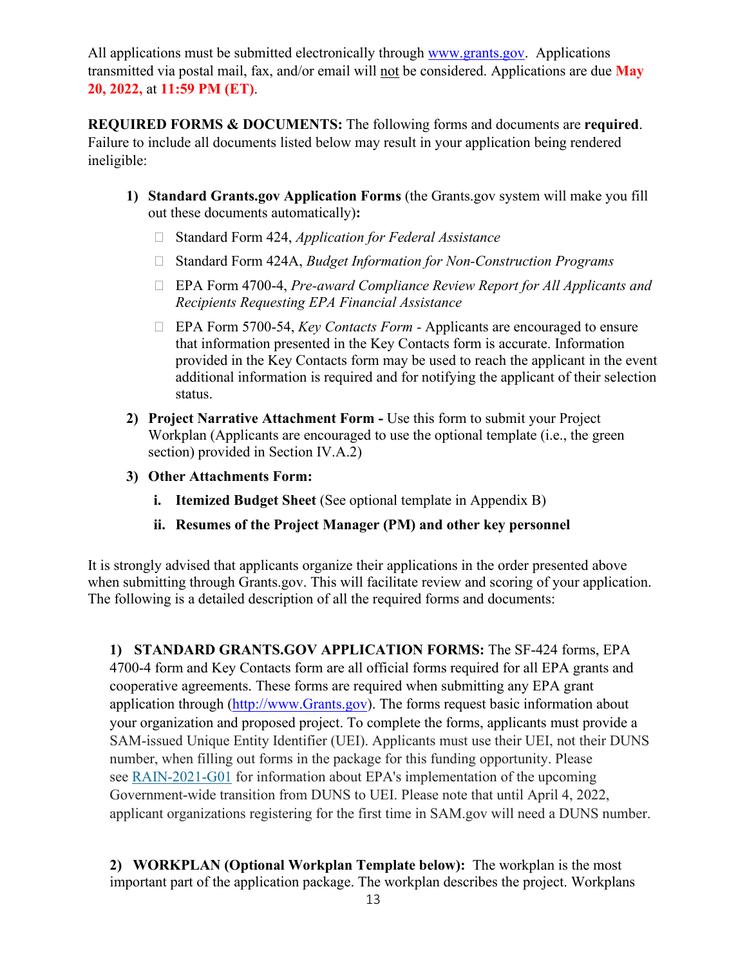All applications must be submitted electronically through [www.grants.gov.](http://www.grants.gov/) Applications transmitted via postal mail, fax, and/or email will not be considered. Applications are due **May 20, 2022,** at **11:59 PM (ET)**.

**REQUIRED FORMS & DOCUMENTS:** The following forms and documents are **required**. Failure to include all documents listed below may result in your application being rendered ineligible:

- **1) Standard Grants.gov Application Forms** (the Grants.gov system will make you fill out these documents automatically)**:**
	- Standard Form 424, *Application for Federal Assistance*
	- Standard Form 424A, *Budget Information for Non-Construction Programs*
	- EPA Form 4700-4, *Pre-award Compliance Review Report for All Applicants and Recipients Requesting EPA Financial Assistance*
	- EPA Form 5700-54, *Key Contacts Form -* Applicants are encouraged to ensure that information presented in the Key Contacts form is accurate. Information provided in the Key Contacts form may be used to reach the applicant in the event additional information is required and for notifying the applicant of their selection status.
- **2) Project Narrative Attachment Form -** Use this form to submit your Project Workplan (Applicants are encouraged to use the optional template (i.e., the green section) provided in Section IV.A.2)
- **3) Other Attachments Form:**
	- **i. Itemized Budget Sheet** (See optional template in Appendix B)
	- **ii. Resumes of the Project Manager (PM) and other key personnel**

It is strongly advised that applicants organize their applications in the order presented above when submitting through Grants.gov. This will facilitate review and scoring of your application. The following is a detailed description of all the required forms and documents:

**1) STANDARD GRANTS.GOV APPLICATION FORMS:** The SF-424 forms, EPA 4700-4 form and Key Contacts form are all official forms required for all EPA grants and cooperative agreements. These forms are required when submitting any EPA grant application through [\(http://www.Grants.gov\)](http://www.grants.gov/). The forms request basic information about your organization and proposed project. To complete the forms, applicants must provide a SAM-issued Unique Entity Identifier (UEI). Applicants must use their UEI, not their DUNS number, when filling out forms in the package for this funding opportunity. Please see [RAIN-2021-G01](https://www.epa.gov/grants/rain-2021-g01) for information about EPA's implementation of the upcoming Government-wide transition from DUNS to UEI. Please note that until April 4, 2022, applicant organizations registering for the first time in SAM.gov will need a DUNS number.

**2) WORKPLAN (Optional Workplan Template below):** The workplan is the most important part of the application package. The workplan describes the project. Workplans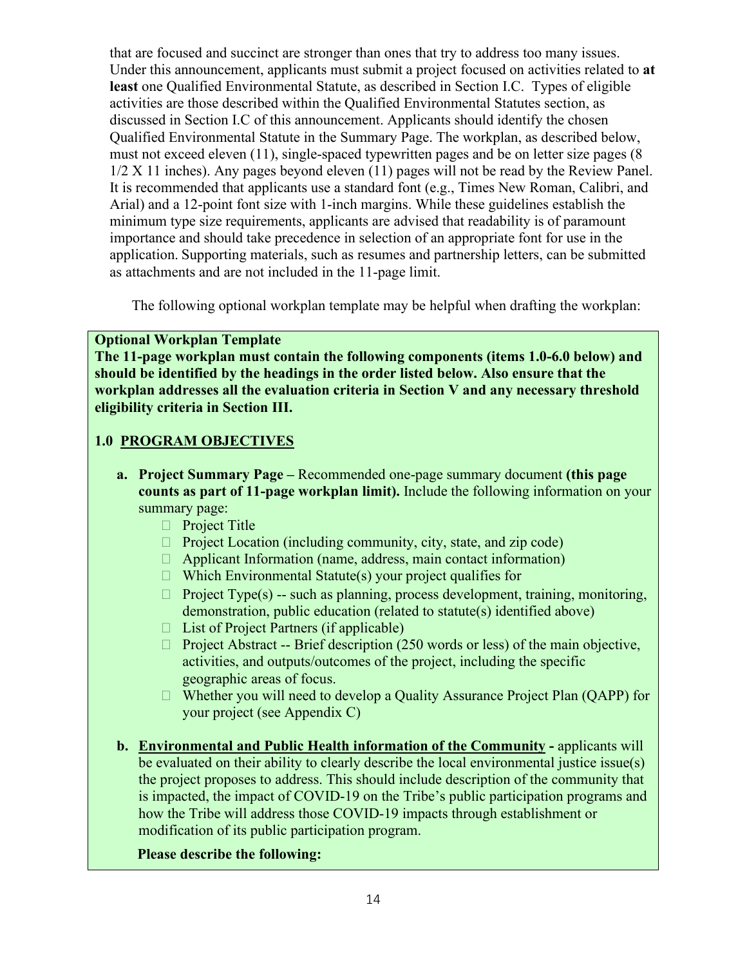that are focused and succinct are stronger than ones that try to address too many issues. Under this announcement, applicants must submit a project focused on activities related to **at least** one Qualified Environmental Statute, as described in Section I.C. Types of eligible activities are those described within the Qualified Environmental Statutes section, as discussed in Section I.C of this announcement. Applicants should identify the chosen Qualified Environmental Statute in the Summary Page. The workplan, as described below, must not exceed eleven (11), single-spaced typewritten pages and be on letter size pages (8 1/2 X 11 inches). Any pages beyond eleven (11) pages will not be read by the Review Panel. It is recommended that applicants use a standard font (e.g., Times New Roman, Calibri, and Arial) and a 12-point font size with 1-inch margins. While these guidelines establish the minimum type size requirements, applicants are advised that readability is of paramount importance and should take precedence in selection of an appropriate font for use in the application. Supporting materials, such as resumes and partnership letters, can be submitted as attachments and are not included in the 11-page limit.

The following optional workplan template may be helpful when drafting the workplan:

### **Optional Workplan Template**

**The 11-page workplan must contain the following components (items 1.0-6.0 below) and should be identified by the headings in the order listed below. Also ensure that the workplan addresses all the evaluation criteria in Section V and any necessary threshold eligibility criteria in Section III.** 

### **1.0 PROGRAM OBJECTIVES**

- **a. Project Summary Page –** Recommended one-page summary document **(this page counts as part of 11-page workplan limit).** Include the following information on your summary page:
	- $\Box$  Project Title
	- $\Box$  Project Location (including community, city, state, and zip code)
	- $\Box$  Applicant Information (name, address, main contact information)
	- $\Box$  Which Environmental Statute(s) your project qualifies for
	- $\Box$  Project Type(s) -- such as planning, process development, training, monitoring, demonstration, public education (related to statute(s) identified above)
	- $\Box$  List of Project Partners (if applicable)
	- $\Box$  Project Abstract -- Brief description (250 words or less) of the main objective, activities, and outputs/outcomes of the project, including the specific geographic areas of focus.
	- $\Box$  Whether you will need to develop a Quality Assurance Project Plan (QAPP) for your project (see Appendix C)
- **b. Environmental and Public Health information of the Community -** applicants will be evaluated on their ability to clearly describe the local environmental justice issue(s) the project proposes to address. This should include description of the community that is impacted, the impact of COVID-19 on the Tribe's public participation programs and how the Tribe will address those COVID-19 impacts through establishment or modification of its public participation program.

## **Please describe the following:**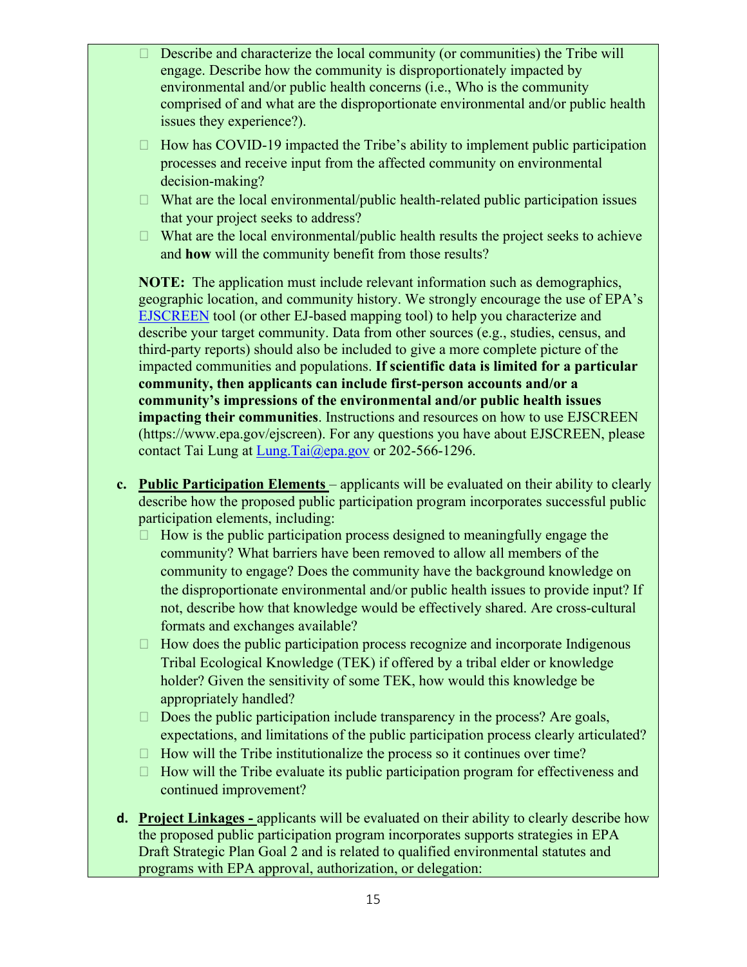- $\Box$  Describe and characterize the local community (or communities) the Tribe will engage. Describe how the community is disproportionately impacted by environmental and/or public health concerns (i.e., Who is the community comprised of and what are the disproportionate environmental and/or public health issues they experience?).
- $\Box$  How has COVID-19 impacted the Tribe's ability to implement public participation processes and receive input from the affected community on environmental decision-making?
- $\Box$  What are the local environmental/public health-related public participation issues that your project seeks to address?
- $\Box$  What are the local environmental/public health results the project seeks to achieve and **how** will the community benefit from those results?

**NOTE:** The application must include relevant information such as demographics, geographic location, and community history. We strongly encourage the use of EPA's [EJSCREEN](https://www.epa.gov/ejscreen) tool (or other EJ-based mapping tool) to help you characterize and describe your target community. Data from other sources (e.g., studies, census, and third-party reports) should also be included to give a more complete picture of the impacted communities and populations. **If scientific data is limited for a particular community, then applicants can include first-person accounts and/or a community's impressions of the environmental and/or public health issues impacting their communities**. Instructions and resources on how to use EJSCREEN (https://www.epa.gov/ejscreen). For any questions you have about EJSCREEN, please contact Tai Lung at [Lung.Tai@epa.gov](mailto:Lung.Tai@epa.gov) or 202-566-1296.

- **c. Public Participation Elements** applicants will be evaluated on their ability to clearly describe how the proposed public participation program incorporates successful public participation elements, including:
	- $\Box$  How is the public participation process designed to meaningfully engage the community? What barriers have been removed to allow all members of the community to engage? Does the community have the background knowledge on the disproportionate environmental and/or public health issues to provide input? If not, describe how that knowledge would be effectively shared. Are cross-cultural formats and exchanges available?
	- $\Box$  How does the public participation process recognize and incorporate Indigenous Tribal Ecological Knowledge (TEK) if offered by a tribal elder or knowledge holder? Given the sensitivity of some TEK, how would this knowledge be appropriately handled?
	- $\Box$  Does the public participation include transparency in the process? Are goals, expectations, and limitations of the public participation process clearly articulated?
	- $\Box$  How will the Tribe institutionalize the process so it continues over time?
	- $\Box$  How will the Tribe evaluate its public participation program for effectiveness and continued improvement?
- **d. Project Linkages -** applicants will be evaluated on their ability to clearly describe how the proposed public participation program incorporates supports strategies in EPA Draft Strategic Plan Goal 2 and is related to qualified environmental statutes and programs with EPA approval, authorization, or delegation: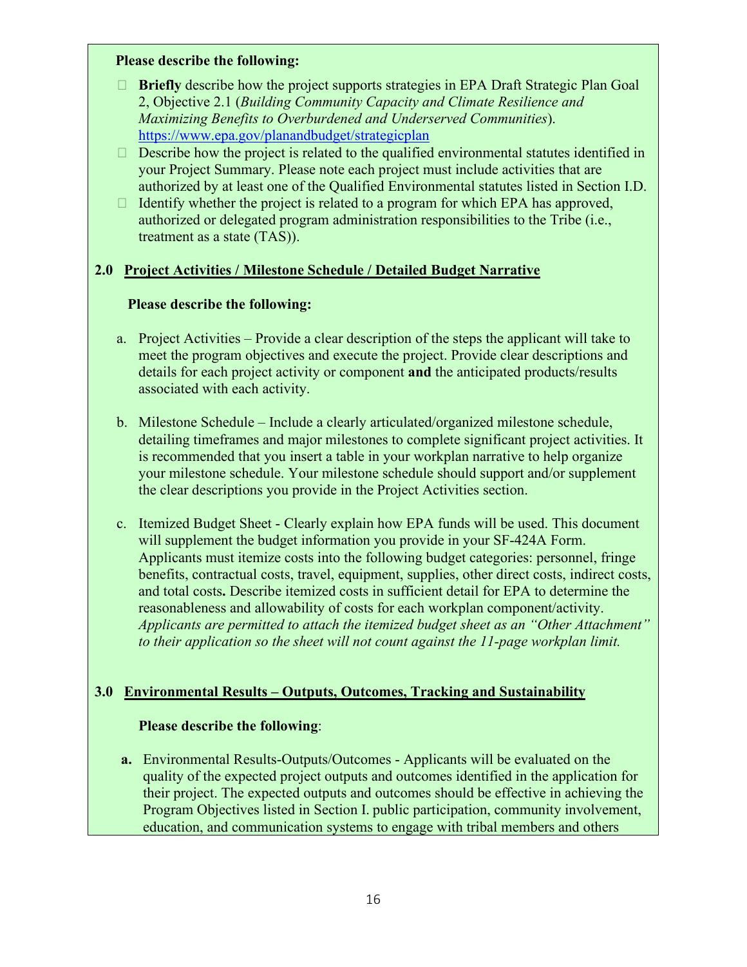#### **Please describe the following:**

- **Briefly** describe how the project supports strategies in EPA Draft Strategic Plan Goal 2, Objective 2.1 (*Building Community Capacity and Climate Resilience and Maximizing Benefits to Overburdened and Underserved Communities*). <https://www.epa.gov/planandbudget/strategicplan>
- $\Box$  Describe how the project is related to the qualified environmental statutes identified in your Project Summary. Please note each project must include activities that are authorized by at least one of the Qualified Environmental statutes listed in Section I.D.
- $\Box$  Identify whether the project is related to a program for which EPA has approved, authorized or delegated program administration responsibilities to the Tribe (i.e., treatment as a state (TAS)).

## **2.0 Project Activities / Milestone Schedule / Detailed Budget Narrative**

### **Please describe the following:**

- a. Project Activities Provide a clear description of the steps the applicant will take to meet the program objectives and execute the project. Provide clear descriptions and details for each project activity or component **and** the anticipated products/results associated with each activity.
- b. Milestone Schedule Include a clearly articulated/organized milestone schedule, detailing timeframes and major milestones to complete significant project activities. It is recommended that you insert a table in your workplan narrative to help organize your milestone schedule. Your milestone schedule should support and/or supplement the clear descriptions you provide in the Project Activities section.
- c. Itemized Budget Sheet Clearly explain how EPA funds will be used. This document will supplement the budget information you provide in your SF-424A Form. Applicants must itemize costs into the following budget categories: personnel, fringe benefits, contractual costs, travel, equipment, supplies, other direct costs, indirect costs, and total costs**.** Describe itemized costs in sufficient detail for EPA to determine the reasonableness and allowability of costs for each workplan component/activity. *Applicants are permitted to attach the itemized budget sheet as an "Other Attachment" to their application so the sheet will not count against the 11-page workplan limit.*

## **3.0 Environmental Results – Outputs, Outcomes, Tracking and Sustainability**

### **Please describe the following**:

**a.** Environmental Results-Outputs/Outcomes - Applicants will be evaluated on the quality of the expected project outputs and outcomes identified in the application for their project. The expected outputs and outcomes should be effective in achieving the Program Objectives listed in Section I. public participation, community involvement, education, and communication systems to engage with tribal members and others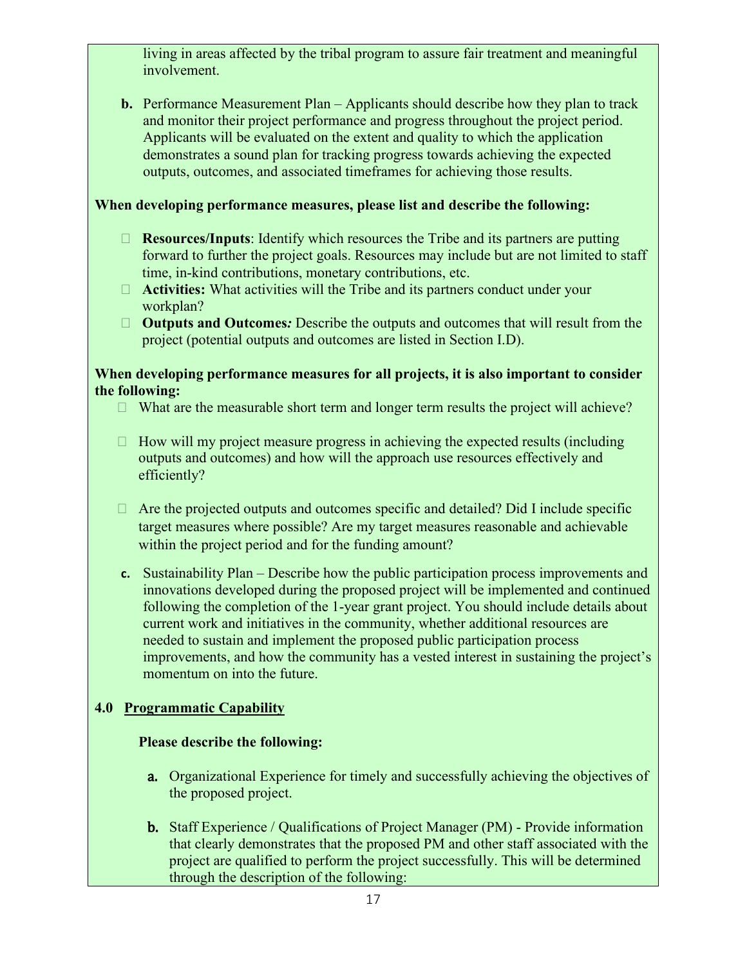living in areas affected by the tribal program to assure fair treatment and meaningful involvement.

**b.** Performance Measurement Plan – Applicants should describe how they plan to track and monitor their project performance and progress throughout the project period. Applicants will be evaluated on the extent and quality to which the application demonstrates a sound plan for tracking progress towards achieving the expected outputs, outcomes, and associated timeframes for achieving those results.

### **When developing performance measures, please list and describe the following:**

- **Resources/Inputs**: Identify which resources the Tribe and its partners are putting forward to further the project goals. Resources may include but are not limited to staff time, in-kind contributions, monetary contributions, etc.
- **Activities:** What activities will the Tribe and its partners conduct under your workplan?
- **Outputs and Outcomes***:* Describe the outputs and outcomes that will result from the project (potential outputs and outcomes are listed in Section I.D).

### **When developing performance measures for all projects, it is also important to consider the following:**

- $\Box$  What are the measurable short term and longer term results the project will achieve?
- $\Box$  How will my project measure progress in achieving the expected results (including outputs and outcomes) and how will the approach use resources effectively and efficiently?
- $\Box$  Are the projected outputs and outcomes specific and detailed? Did I include specific target measures where possible? Are my target measures reasonable and achievable within the project period and for the funding amount?
- **c.** Sustainability Plan Describe how the public participation process improvements and innovations developed during the proposed project will be implemented and continued following the completion of the 1-year grant project. You should include details about current work and initiatives in the community, whether additional resources are needed to sustain and implement the proposed public participation process improvements, and how the community has a vested interest in sustaining the project's momentum on into the future.

## **4.0 Programmatic Capability**

## **Please describe the following:**

- a. Organizational Experience for timely and successfully achieving the objectives of the proposed project.
- b. Staff Experience / Qualifications of Project Manager (PM) Provide information that clearly demonstrates that the proposed PM and other staff associated with the project are qualified to perform the project successfully. This will be determined through the description of the following: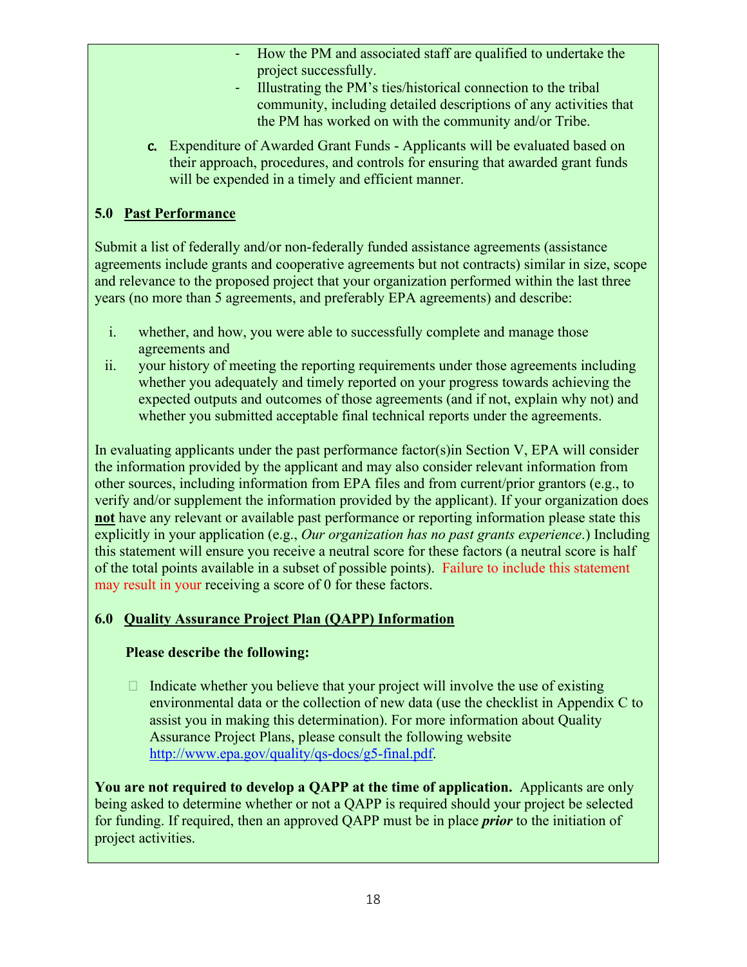- How the PM and associated staff are qualified to undertake the project successfully.
- Illustrating the PM's ties/historical connection to the tribal community, including detailed descriptions of any activities that the PM has worked on with the community and/or Tribe.
- c. Expenditure of Awarded Grant Funds Applicants will be evaluated based on their approach, procedures, and controls for ensuring that awarded grant funds will be expended in a timely and efficient manner.

## **5.0 Past Performance**

Submit a list of federally and/or non-federally funded assistance agreements (assistance agreements include grants and cooperative agreements but not contracts) similar in size, scope and relevance to the proposed project that your organization performed within the last three years (no more than 5 agreements, and preferably EPA agreements) and describe:

- i. whether, and how, you were able to successfully complete and manage those agreements and
- ii. your history of meeting the reporting requirements under those agreements including whether you adequately and timely reported on your progress towards achieving the expected outputs and outcomes of those agreements (and if not, explain why not) and whether you submitted acceptable final technical reports under the agreements.

In evaluating applicants under the past performance factor(s)in Section V, EPA will consider the information provided by the applicant and may also consider relevant information from other sources, including information from EPA files and from current/prior grantors (e.g., to verify and/or supplement the information provided by the applicant). If your organization does **not** have any relevant or available past performance or reporting information please state this explicitly in your application (e.g., *Our organization has no past grants experience*.) Including this statement will ensure you receive a neutral score for these factors (a neutral score is half of the total points available in a subset of possible points). Failure to include this statement may result in your receiving a score of 0 for these factors.

## **6.0 Quality Assurance Project Plan (QAPP) Information**

## **Please describe the following:**

 $\Box$  Indicate whether you believe that your project will involve the use of existing environmental data or the collection of new data (use the checklist in Appendix C to assist you in making this determination). For more information about Quality Assurance Project Plans, please consult the following website [http://www.epa.gov/quality/qs-docs/g5-final.pdf.](http://www.epa.gov/quality/qs-docs/g5-final.pdf)

**You are not required to develop a QAPP at the time of application.** Applicants are only being asked to determine whether or not a QAPP is required should your project be selected for funding. If required, then an approved QAPP must be in place *prior* to the initiation of project activities.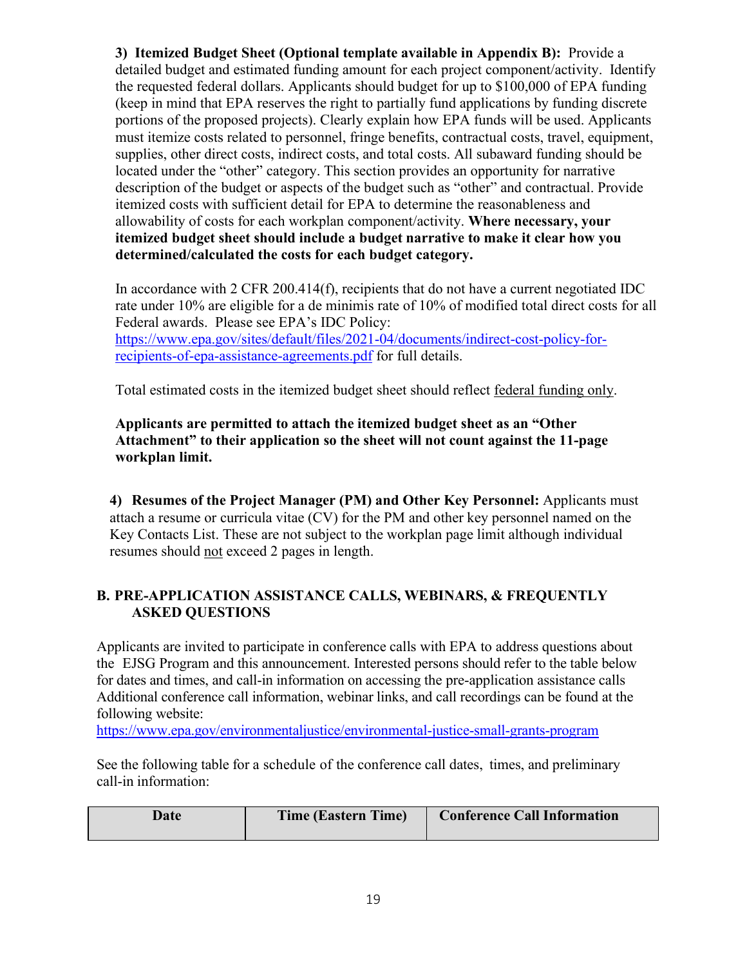**3) Itemized Budget Sheet (Optional template available in Appendix B):** Provide a detailed budget and estimated funding amount for each project component/activity. Identify the requested federal dollars. Applicants should budget for up to \$100,000 of EPA funding (keep in mind that EPA reserves the right to partially fund applications by funding discrete portions of the proposed projects). Clearly explain how EPA funds will be used. Applicants must itemize costs related to personnel, fringe benefits, contractual costs, travel, equipment, supplies, other direct costs, indirect costs, and total costs. All subaward funding should be located under the "other" category. This section provides an opportunity for narrative description of the budget or aspects of the budget such as "other" and contractual. Provide itemized costs with sufficient detail for EPA to determine the reasonableness and allowability of costs for each workplan component/activity. **Where necessary, your itemized budget sheet should include a budget narrative to make it clear how you determined/calculated the costs for each budget category.** 

In accordance with 2 CFR 200.414(f), recipients that do not have a current negotiated IDC rate under 10% are eligible for a de minimis rate of 10% of modified total direct costs for all Federal awards. Please see EPA's IDC Policy: [https://www.epa.gov/sites/default/files/2021-04/documents/indirect-cost-policy-for-](https://www.epa.gov/sites/default/files/2021-04/documents/indirect-cost-policy-for-recipients-of-epa-assistance-agreements.pdf)

[recipients-of-epa-assistance-agreements.pdf](https://www.epa.gov/sites/default/files/2021-04/documents/indirect-cost-policy-for-recipients-of-epa-assistance-agreements.pdf) for full details.

Total estimated costs in the itemized budget sheet should reflect federal funding only.

**Applicants are permitted to attach the itemized budget sheet as an "Other Attachment" to their application so the sheet will not count against the 11-page workplan limit.**

**4) Resumes of the Project Manager (PM) and Other Key Personnel:** Applicants must attach a resume or curricula vitae (CV) for the PM and other key personnel named on the Key Contacts List. These are not subject to the workplan page limit although individual resumes should not exceed 2 pages in length.

### **B. PRE-APPLICATION ASSISTANCE CALLS, WEBINARS, & FREQUENTLY ASKED QUESTIONS**

Applicants are invited to participate in conference calls with EPA to address questions about the EJSG Program and this announcement. Interested persons should refer to the table below for dates and times, and call-in information on accessing the pre-application assistance calls Additional conference call information, webinar links, and call recordings can be found at the following website:

<https://www.epa.gov/environmentaljustice/environmental-justice-small-grants-program>

See the following table for a schedule of the conference call dates, times, and preliminary call-in information:

| Date | <b>Time (Eastern Time)</b> | <b>Conference Call Information</b> |
|------|----------------------------|------------------------------------|
|      |                            |                                    |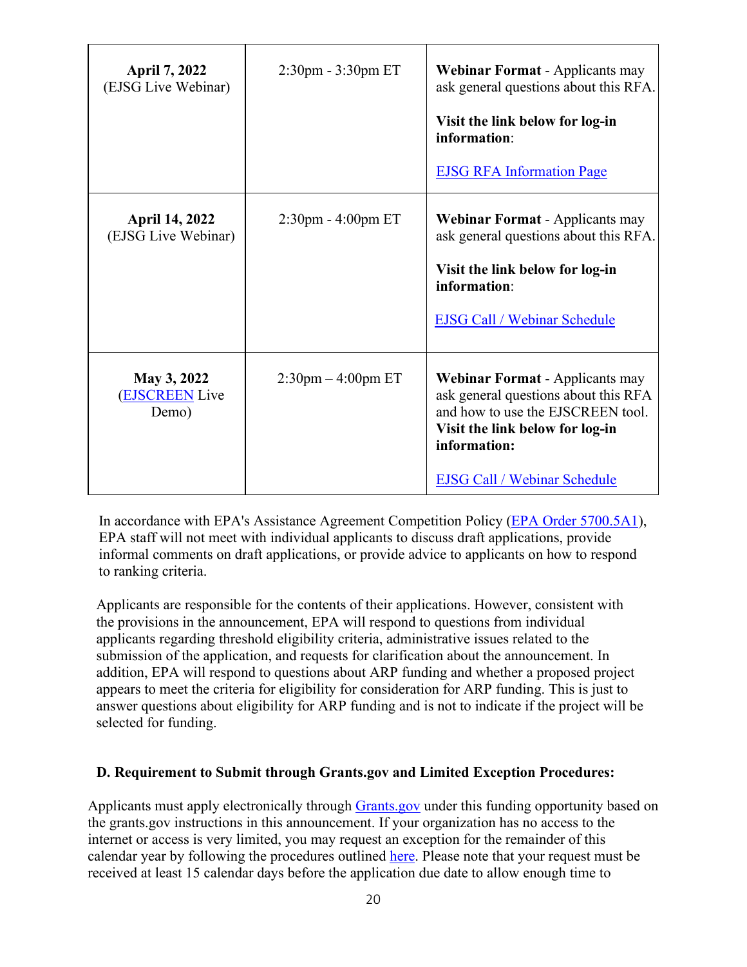| <b>April 7, 2022</b><br>(EJSG Live Webinar)  | $2:30$ pm - $3:30$ pm ET | <b>Webinar Format</b> - Applicants may<br>ask general questions about this RFA.<br>Visit the link below for log-in<br>information:<br><b>EJSG RFA Information Page</b>                                        |
|----------------------------------------------|--------------------------|---------------------------------------------------------------------------------------------------------------------------------------------------------------------------------------------------------------|
| <b>April 14, 2022</b><br>(EJSG Live Webinar) | $2:30$ pm - $4:00$ pm ET | <b>Webinar Format</b> - Applicants may<br>ask general questions about this RFA.<br>Visit the link below for log-in<br>information:<br><b>EJSG Call / Webinar Schedule</b>                                     |
| May 3, 2022<br><b>EJSCREEN</b> Live<br>Demo) | $2:30$ pm $-4:00$ pm ET  | <b>Webinar Format</b> - Applicants may<br>ask general questions about this RFA<br>and how to use the EJSCREEN tool.<br>Visit the link below for log-in<br>information:<br><b>EJSG Call / Webinar Schedule</b> |

In accordance with EPA's Assistance Agreement Competition Policy [\(EPA Order 5700.5A1\)](https://www.epa.gov/grants/epa-order-57005a1-epas-policy-competition-assistance-agreements), EPA staff will not meet with individual applicants to discuss draft applications, provide informal comments on draft applications, or provide advice to applicants on how to respond to ranking criteria.

Applicants are responsible for the contents of their applications. However, consistent with the provisions in the announcement, EPA will respond to questions from individual applicants regarding threshold eligibility criteria, administrative issues related to the submission of the application, and requests for clarification about the announcement. In addition, EPA will respond to questions about ARP funding and whether a proposed project appears to meet the criteria for eligibility for consideration for ARP funding. This is just to answer questions about eligibility for ARP funding and is not to indicate if the project will be selected for funding.

#### **D. Requirement to Submit through Grants.gov and Limited Exception Procedures:**

Applicants must apply electronically through [Grants.gov](https://www.grants.gov/) under this funding opportunity based on the grants.gov instructions in this announcement. If your organization has no access to the internet or access is very limited, you may request an exception for the remainder of this calendar year by following the procedures outlined [here.](https://www.epa.gov/grants/exceptions-grantsgov-submission-requirement) Please note that your request must be received at least 15 calendar days before the application due date to allow enough time to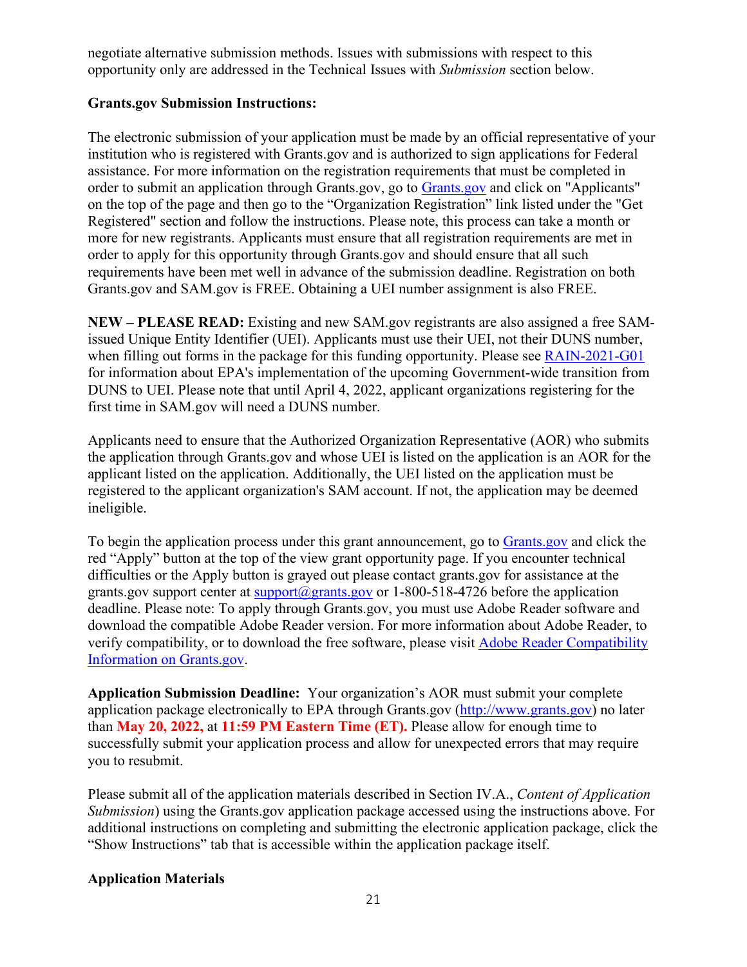negotiate alternative submission methods. Issues with submissions with respect to this opportunity only are addressed in the Technical Issues with *Submission* section below.

### **Grants.gov Submission Instructions:**

The electronic submission of your application must be made by an official representative of your institution who is registered with Grants.gov and is authorized to sign applications for Federal assistance. For more information on the registration requirements that must be completed in order to submit an application through [Grants.gov](https://www.grants.gov/), go to Grants.gov and click on "Applicants" on the top of the page and then go to the "Organization Registration" link listed under the "Get Registered" section and follow the instructions. Please note, this process can take a month or more for new registrants. Applicants must ensure that all registration requirements are met in order to apply for this opportunity through Grants.gov and should ensure that all such requirements have been met well in advance of the submission deadline. Registration on both Grants.gov and SAM.gov is FREE. Obtaining a UEI number assignment is also FREE.

**NEW – PLEASE READ:** Existing and new SAM.gov registrants are also assigned a free SAMissued Unique Entity Identifier (UEI). Applicants must use their UEI, not their DUNS number, when filling out forms in the package for this funding opportunity. Please see [RAIN-2021-G01](https://www.epa.gov/grants/rain-2021-g01-r1) for information about EPA's implementation of the upcoming Government-wide transition from DUNS to UEI. Please note that until April 4, 2022, applicant organizations registering for the first time in SAM.gov will need a DUNS number.

Applicants need to ensure that the Authorized Organization Representative (AOR) who submits the application through Grants.gov and whose UEI is listed on the application is an AOR for the applicant listed on the application. Additionally, the UEI listed on the application must be registered to the applicant organization's SAM account. If not, the application may be deemed ineligible.

To begin the application process under this grant announcement, go to [Grants.gov](https://www.grants.gov/) and click the red "Apply" button at the top of the view grant opportunity page. If you encounter technical difficulties or the Apply button is grayed out please contact grants.gov for assistance at the grants.gov support center at  $\frac{\text{support}(a)}{\text{grams}}$ ,gov or 1-800-518-4726 before the application deadline. Please note: To apply through Grants.gov, you must use Adobe Reader software and download the compatible Adobe Reader version. For more information about Adobe Reader, to verify compatibility, or to download the free software, please visit [Adobe Reader Compatibility](https://www.grants.gov/web/grants/applicants/adobe-software-compatibility.html)  [Information on Grants.gov.](https://www.grants.gov/web/grants/applicants/adobe-software-compatibility.html)

**Application Submission Deadline:** Your organization's AOR must submit your complete application package electronically to EPA through Grants.gov [\(http://www.grants.gov\)](http://www.grants.gov/) no later than **May 20, 2022,** at **11:59 PM Eastern Time (ET).** Please allow for enough time to successfully submit your application process and allow for unexpected errors that may require you to resubmit.

Please submit all of the application materials described in Section IV.A., *Content of Application Submission*) using the Grants.gov application package accessed using the instructions above. For additional instructions on completing and submitting the electronic application package, click the "Show Instructions" tab that is accessible within the application package itself.

### **Application Materials**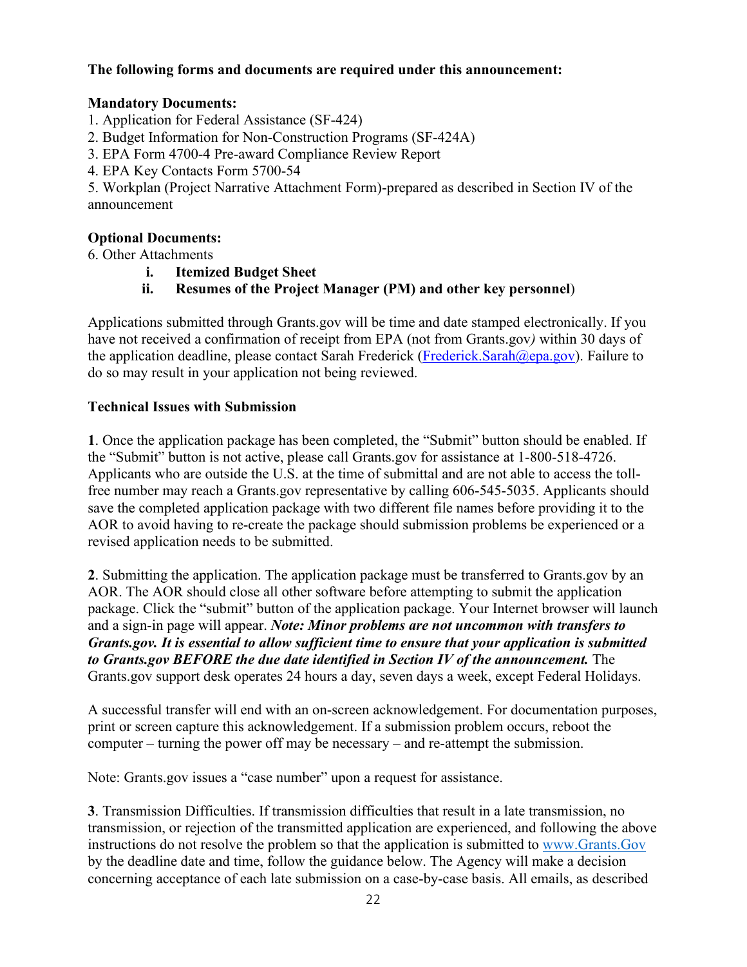#### **The following forms and documents are required under this announcement:**

#### **Mandatory Documents:**

- 1. Application for Federal Assistance (SF-424)
- 2. Budget Information for Non-Construction Programs (SF-424A)
- 3. EPA Form 4700-4 Pre-award Compliance Review Report
- 4. EPA Key Contacts Form 5700-54

5. Workplan (Project Narrative Attachment Form)-prepared as described in Section IV of the announcement

#### **Optional Documents:**

6. Other Attachments

- **i. Itemized Budget Sheet**
- **ii. Resumes of the Project Manager (PM) and other key personnel**)

Applications submitted through Grants.gov will be time and date stamped electronically. If you have not received a confirmation of receipt from EPA (not from Grants.gov*)* within 30 days of the application deadline, please contact Sarah Frederick (Frederick Sarah@epa.gov). Failure to do so may result in your application not being reviewed.

#### **Technical Issues with Submission**

**1**. Once the application package has been completed, the "Submit" button should be enabled. If the "Submit" button is not active, please call Grants.gov for assistance at 1-800-518-4726. Applicants who are outside the U.S. at the time of submittal and are not able to access the tollfree number may reach a Grants.gov representative by calling 606-545-5035. Applicants should save the completed application package with two different file names before providing it to the AOR to avoid having to re-create the package should submission problems be experienced or a revised application needs to be submitted.

**2**. Submitting the application. The application package must be transferred to Grants.gov by an AOR. The AOR should close all other software before attempting to submit the application package. Click the "submit" button of the application package. Your Internet browser will launch and a sign-in page will appear. *Note: Minor problems are not uncommon with transfers to Grants.gov. It is essential to allow sufficient time to ensure that your application is submitted to Grants.gov BEFORE the due date identified in Section IV of the announcement.* The Grants.gov support desk operates 24 hours a day, seven days a week, except Federal Holidays.

A successful transfer will end with an on-screen acknowledgement. For documentation purposes, print or screen capture this acknowledgement. If a submission problem occurs, reboot the computer – turning the power off may be necessary – and re-attempt the submission.

Note: Grants.gov issues a "case number" upon a request for assistance.

**3**. Transmission Difficulties. If transmission difficulties that result in a late transmission, no transmission, or rejection of the transmitted application are experienced, and following the above instructions do not resolve the problem so that the application is submitted to [www.Grants.Gov](http://www.grants.gov/) by the deadline date and time, follow the guidance below. The Agency will make a decision concerning acceptance of each late submission on a case-by-case basis. All emails, as described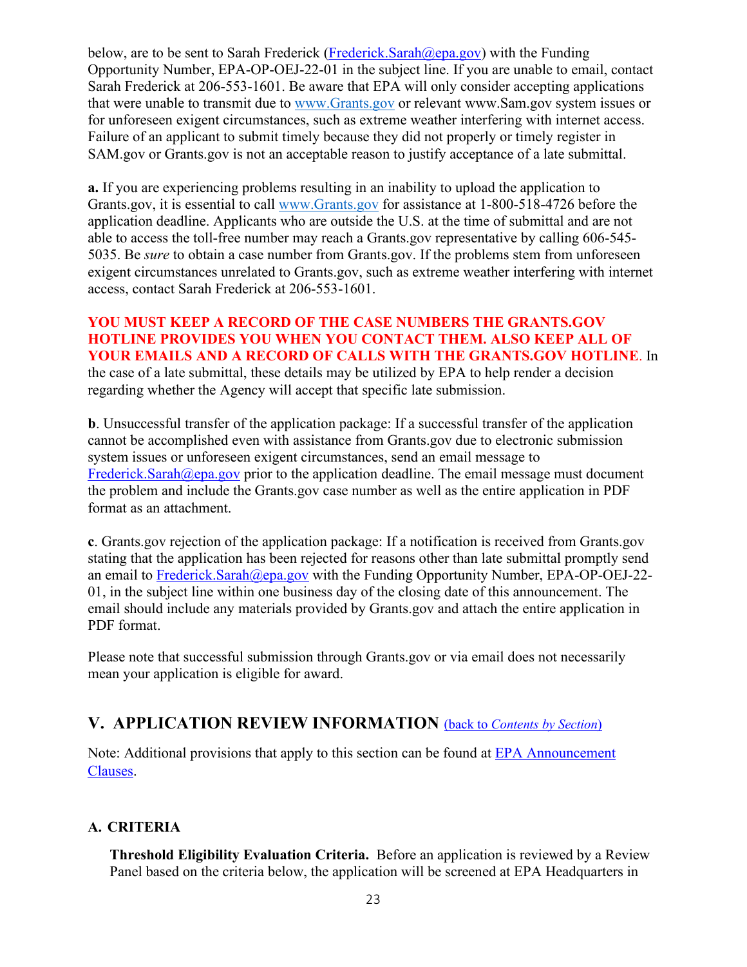below, are to be sent to Sarah Frederick (Frederick Sarah  $(a)$ epa.gov) with the Funding Opportunity Number, EPA-OP-OEJ-22-01 in the subject line. If you are unable to email, contact Sarah Frederick at 206-553-1601. Be aware that EPA will only consider accepting applications that were unable to transmit due to [www.Grants.gov](http://www.grants.gov/) or relevant www.Sam.gov system issues or for unforeseen exigent circumstances, such as extreme weather interfering with internet access. Failure of an applicant to submit timely because they did not properly or timely register in SAM.gov or Grants.gov is not an acceptable reason to justify acceptance of a late submittal.

**a.** If you are experiencing problems resulting in an inability to upload the application to Grants.gov, it is essential to call [www.Grants.gov](http://www.grants.gov/) for assistance at 1-800-518-4726 before the application deadline. Applicants who are outside the U.S. at the time of submittal and are not able to access the toll-free number may reach a Grants.gov representative by calling 606-545- 5035. Be *sure* to obtain a case number from Grants.gov. If the problems stem from unforeseen exigent circumstances unrelated to Grants.gov, such as extreme weather interfering with internet access, contact Sarah Frederick at 206-553-1601.

**YOU MUST KEEP A RECORD OF THE CASE NUMBERS THE GRANTS.GOV HOTLINE PROVIDES YOU WHEN YOU CONTACT THEM. ALSO KEEP ALL OF YOUR EMAILS AND A RECORD OF CALLS WITH THE GRANTS.GOV HOTLINE**. In the case of a late submittal, these details may be utilized by EPA to help render a decision regarding whether the Agency will accept that specific late submission.

**b**. Unsuccessful transfer of the application package: If a successful transfer of the application cannot be accomplished even with assistance from Grants.gov due to electronic submission system issues or unforeseen exigent circumstances, send an email message to [Frederick.Sarah@epa.gov](mailto:Frederick.Sarah@epa.gov) prior to the application deadline. The email message must document the problem and include the Grants.gov case number as well as the entire application in PDF format as an attachment.

**c**. Grants.gov rejection of the application package: If a notification is received from Grants.gov stating that the application has been rejected for reasons other than late submittal promptly send an email to [Frederick.Sarah@epa.gov](mailto:Frederick.Sarah@epa.gov) with the Funding Opportunity Number, EPA-OP-OEJ-22-01, in the subject line within one business day of the closing date of this announcement. The email should include any materials provided by Grants.gov and attach the entire application in PDF format.

Please note that successful submission through Grants.gov or via email does not necessarily mean your application is eligible for award.

## <span id="page-22-0"></span>**V. APPLICATION REVIEW INFORMATION** (back to *[Contents by Section](#page-0-1)*)

Note: Additional provisions that apply to this section can be found at [EPA Announcement](https://www.epa.gov/grants/epa-solicitation-clauses) [Clauses.](https://www.epa.gov/grants/epa-solicitation-clauses)

### **A. CRITERIA**

**Threshold Eligibility Evaluation Criteria.** Before an application is reviewed by a Review Panel based on the criteria below, the application will be screened at EPA Headquarters in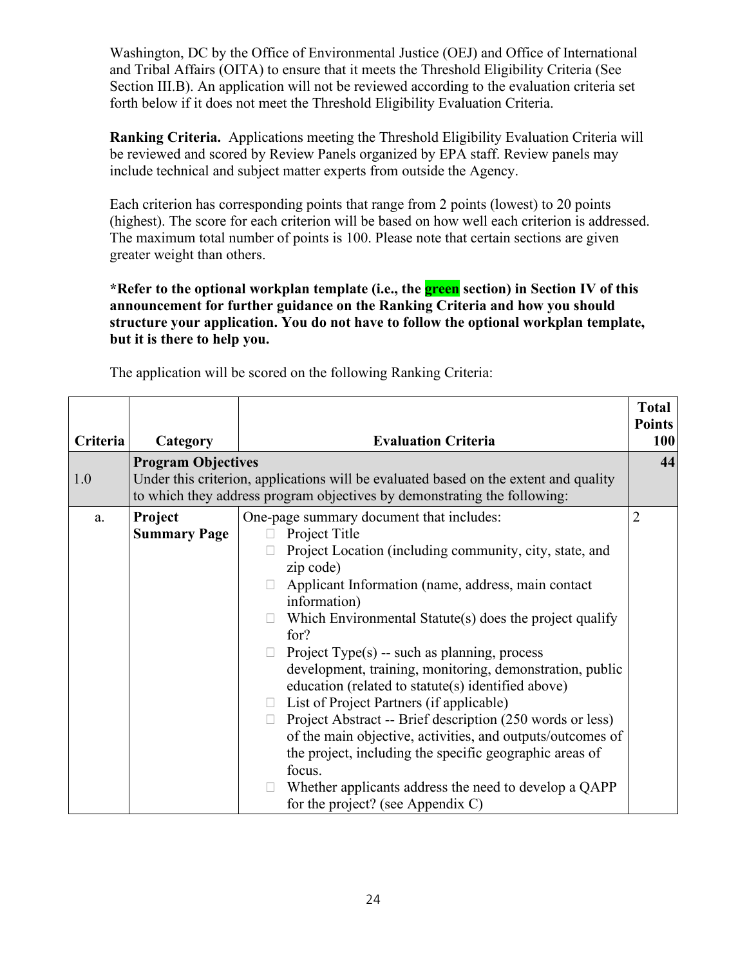Washington, DC by the Office of Environmental Justice (OEJ) and Office of International and Tribal Affairs (OITA) to ensure that it meets the Threshold Eligibility Criteria (See Section III.B). An application will not be reviewed according to the evaluation criteria set forth below if it does not meet the Threshold Eligibility Evaluation Criteria.

**Ranking Criteria.** Applications meeting the Threshold Eligibility Evaluation Criteria will be reviewed and scored by Review Panels organized by EPA staff. Review panels may include technical and subject matter experts from outside the Agency.

Each criterion has corresponding points that range from 2 points (lowest) to 20 points (highest). The score for each criterion will be based on how well each criterion is addressed. The maximum total number of points is 100. Please note that certain sections are given greater weight than others.

**\*Refer to the optional workplan template (i.e., the green section) in Section IV of this announcement for further guidance on the Ranking Criteria and how you should structure your application. You do not have to follow the optional workplan template, but it is there to help you.** 

| Criteria | Category                       | <b>Evaluation Criteria</b>                                                                                                                                                                                                                                                                                                                                                                                                                                                                                                                                                                                                                                                                                                                                                                                                    | <b>Total</b><br><b>Points</b><br>100 |
|----------|--------------------------------|-------------------------------------------------------------------------------------------------------------------------------------------------------------------------------------------------------------------------------------------------------------------------------------------------------------------------------------------------------------------------------------------------------------------------------------------------------------------------------------------------------------------------------------------------------------------------------------------------------------------------------------------------------------------------------------------------------------------------------------------------------------------------------------------------------------------------------|--------------------------------------|
|          | <b>Program Objectives</b>      |                                                                                                                                                                                                                                                                                                                                                                                                                                                                                                                                                                                                                                                                                                                                                                                                                               | 44                                   |
| 1.0      |                                | Under this criterion, applications will be evaluated based on the extent and quality                                                                                                                                                                                                                                                                                                                                                                                                                                                                                                                                                                                                                                                                                                                                          |                                      |
|          |                                | to which they address program objectives by demonstrating the following:                                                                                                                                                                                                                                                                                                                                                                                                                                                                                                                                                                                                                                                                                                                                                      |                                      |
| a.       | Project<br><b>Summary Page</b> | One-page summary document that includes:<br>Project Title<br>Project Location (including community, city, state, and<br>zip code)<br>Applicant Information (name, address, main contact<br>information)<br>Which Environmental Statute(s) does the project qualify<br>for?<br>Project Type $(s)$ -- such as planning, process<br>$\Box$<br>development, training, monitoring, demonstration, public<br>education (related to statute(s) identified above)<br>List of Project Partners (if applicable)<br>$\Box$<br>Project Abstract -- Brief description (250 words or less)<br>П.<br>of the main objective, activities, and outputs/outcomes of<br>the project, including the specific geographic areas of<br>focus.<br>Whether applicants address the need to develop a QAPP<br>$\Box$<br>for the project? (see Appendix C) | $\overline{2}$                       |

The application will be scored on the following Ranking Criteria: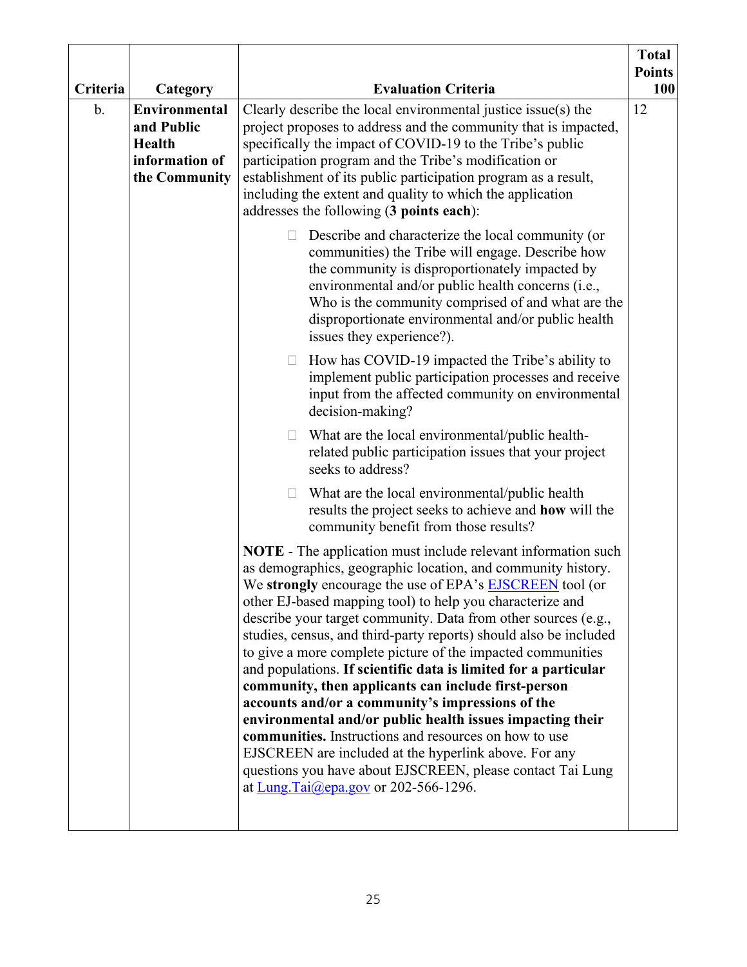|          |                                                                                        |                                                                                                                                                                                                                                                                                                                                                                                                                                                                                                                                                                                                                                                                                                                                                                                                                                                                                                                                                  | <b>Total</b><br><b>Points</b> |
|----------|----------------------------------------------------------------------------------------|--------------------------------------------------------------------------------------------------------------------------------------------------------------------------------------------------------------------------------------------------------------------------------------------------------------------------------------------------------------------------------------------------------------------------------------------------------------------------------------------------------------------------------------------------------------------------------------------------------------------------------------------------------------------------------------------------------------------------------------------------------------------------------------------------------------------------------------------------------------------------------------------------------------------------------------------------|-------------------------------|
| Criteria | Category                                                                               | <b>Evaluation Criteria</b>                                                                                                                                                                                                                                                                                                                                                                                                                                                                                                                                                                                                                                                                                                                                                                                                                                                                                                                       |                               |
| b.       | <b>Environmental</b><br>and Public<br><b>Health</b><br>information of<br>the Community | Clearly describe the local environmental justice issue(s) the<br>project proposes to address and the community that is impacted,<br>specifically the impact of COVID-19 to the Tribe's public<br>participation program and the Tribe's modification or<br>establishment of its public participation program as a result,<br>including the extent and quality to which the application<br>addresses the following (3 points each):                                                                                                                                                                                                                                                                                                                                                                                                                                                                                                                | 12                            |
|          |                                                                                        | Describe and characterize the local community (or<br>$\Box$<br>communities) the Tribe will engage. Describe how<br>the community is disproportionately impacted by<br>environmental and/or public health concerns (i.e.,<br>Who is the community comprised of and what are the<br>disproportionate environmental and/or public health<br>issues they experience?).                                                                                                                                                                                                                                                                                                                                                                                                                                                                                                                                                                               |                               |
|          |                                                                                        | How has COVID-19 impacted the Tribe's ability to<br>$\Box$<br>implement public participation processes and receive<br>input from the affected community on environmental<br>decision-making?                                                                                                                                                                                                                                                                                                                                                                                                                                                                                                                                                                                                                                                                                                                                                     |                               |
|          |                                                                                        | What are the local environmental/public health-<br>$\Box$<br>related public participation issues that your project<br>seeks to address?                                                                                                                                                                                                                                                                                                                                                                                                                                                                                                                                                                                                                                                                                                                                                                                                          |                               |
|          |                                                                                        | What are the local environmental/public health<br>$\Box$<br>results the project seeks to achieve and how will the<br>community benefit from those results?                                                                                                                                                                                                                                                                                                                                                                                                                                                                                                                                                                                                                                                                                                                                                                                       |                               |
|          |                                                                                        | NOTE - The application must include relevant information such<br>as demographics, geographic location, and community history.<br>We strongly encourage the use of EPA's <b>EJSCREEN</b> tool (or<br>other EJ-based mapping tool) to help you characterize and<br>describe your target community. Data from other sources (e.g.,<br>studies, census, and third-party reports) should also be included<br>to give a more complete picture of the impacted communities<br>and populations. If scientific data is limited for a particular<br>community, then applicants can include first-person<br>accounts and/or a community's impressions of the<br>environmental and/or public health issues impacting their<br>communities. Instructions and resources on how to use<br>EJSCREEN are included at the hyperlink above. For any<br>questions you have about EJSCREEN, please contact Tai Lung<br>at Lung.Tai $(\omega$ epa.gov or 202-566-1296. |                               |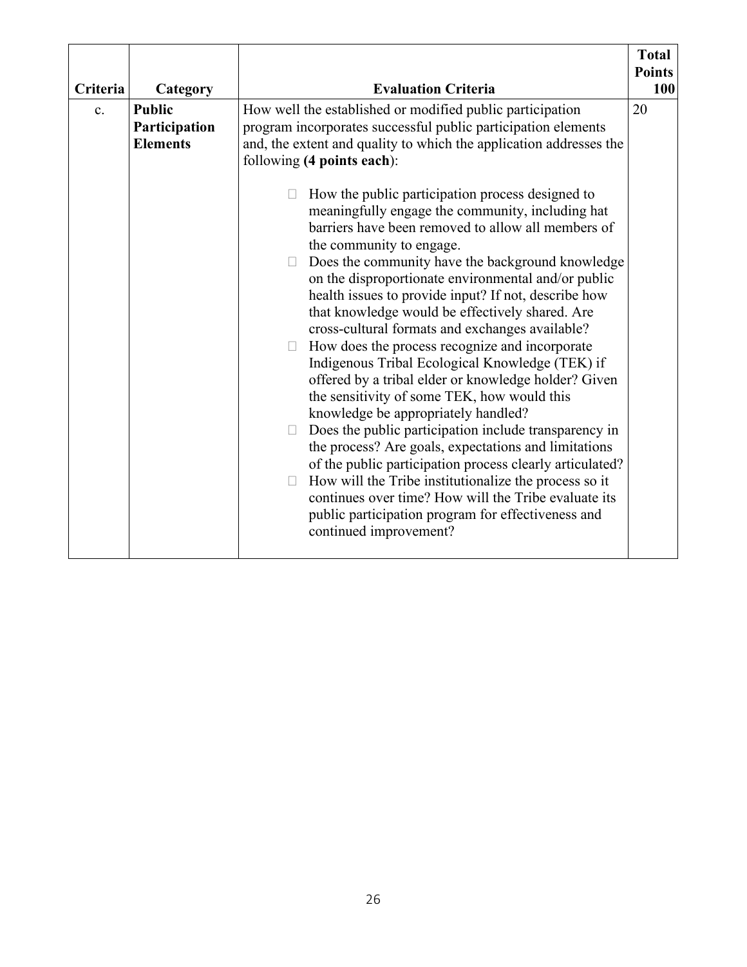| Criteria | Category                                          | <b>Evaluation Criteria</b>                                                                                                                                                                                                                                                                                                                                                                                                                                                                                                                                                                                                                                                                                                                                                                                                                                                                                                                                                                                                                                                                                                                                                                                                                                                                                                              | <b>Total</b><br><b>Points</b><br><b>100</b> |
|----------|---------------------------------------------------|-----------------------------------------------------------------------------------------------------------------------------------------------------------------------------------------------------------------------------------------------------------------------------------------------------------------------------------------------------------------------------------------------------------------------------------------------------------------------------------------------------------------------------------------------------------------------------------------------------------------------------------------------------------------------------------------------------------------------------------------------------------------------------------------------------------------------------------------------------------------------------------------------------------------------------------------------------------------------------------------------------------------------------------------------------------------------------------------------------------------------------------------------------------------------------------------------------------------------------------------------------------------------------------------------------------------------------------------|---------------------------------------------|
| c.       | <b>Public</b><br>Participation<br><b>Elements</b> | How well the established or modified public participation<br>program incorporates successful public participation elements<br>and, the extent and quality to which the application addresses the<br>following (4 points each):<br>How the public participation process designed to<br>П<br>meaningfully engage the community, including hat<br>barriers have been removed to allow all members of<br>the community to engage.<br>Does the community have the background knowledge<br>on the disproportionate environmental and/or public<br>health issues to provide input? If not, describe how<br>that knowledge would be effectively shared. Are<br>cross-cultural formats and exchanges available?<br>How does the process recognize and incorporate<br>Indigenous Tribal Ecological Knowledge (TEK) if<br>offered by a tribal elder or knowledge holder? Given<br>the sensitivity of some TEK, how would this<br>knowledge be appropriately handled?<br>Does the public participation include transparency in<br>the process? Are goals, expectations and limitations<br>of the public participation process clearly articulated?<br>How will the Tribe institutionalize the process so it<br>continues over time? How will the Tribe evaluate its<br>public participation program for effectiveness and<br>continued improvement? | 20                                          |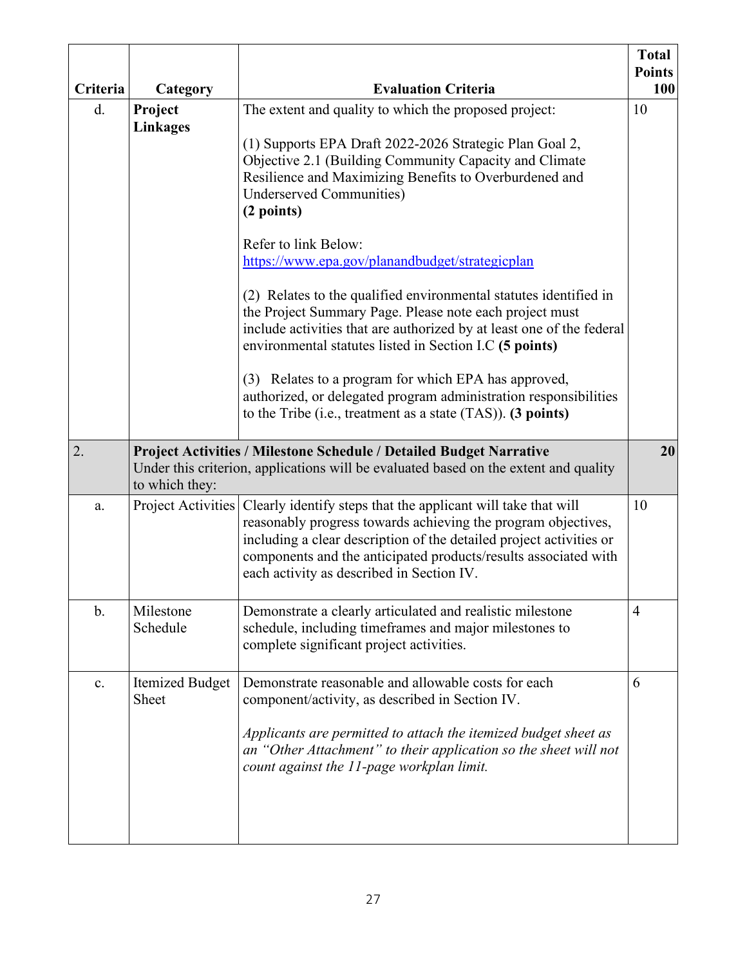| Criteria       | Category                   | <b>Evaluation Criteria</b>                                                                                                                                                                                                                                                                                                                                                                                                                                                                                                                                                                                                                                                                                                                                                                                                         | <b>Total</b><br><b>Points</b><br>100 |
|----------------|----------------------------|------------------------------------------------------------------------------------------------------------------------------------------------------------------------------------------------------------------------------------------------------------------------------------------------------------------------------------------------------------------------------------------------------------------------------------------------------------------------------------------------------------------------------------------------------------------------------------------------------------------------------------------------------------------------------------------------------------------------------------------------------------------------------------------------------------------------------------|--------------------------------------|
| d.             | Project<br><b>Linkages</b> | The extent and quality to which the proposed project:<br>(1) Supports EPA Draft 2022-2026 Strategic Plan Goal 2,<br>Objective 2.1 (Building Community Capacity and Climate<br>Resilience and Maximizing Benefits to Overburdened and<br><b>Underserved Communities)</b><br>(2 points)<br>Refer to link Below:<br>https://www.epa.gov/planandbudget/strategicplan<br>(2) Relates to the qualified environmental statutes identified in<br>the Project Summary Page. Please note each project must<br>include activities that are authorized by at least one of the federal<br>environmental statutes listed in Section I.C (5 points)<br>(3) Relates to a program for which EPA has approved,<br>authorized, or delegated program administration responsibilities<br>to the Tribe (i.e., treatment as a state $(TAS)$ ). (3 points) | 10                                   |
| 2.             | to which they:             | Project Activities / Milestone Schedule / Detailed Budget Narrative<br>Under this criterion, applications will be evaluated based on the extent and quality                                                                                                                                                                                                                                                                                                                                                                                                                                                                                                                                                                                                                                                                        | 20                                   |
| a.             | Project Activities         | Clearly identify steps that the applicant will take that will<br>reasonably progress towards achieving the program objectives,<br>including a clear description of the detailed project activities or<br>components and the anticipated products/results associated with<br>each activity as described in Section IV.                                                                                                                                                                                                                                                                                                                                                                                                                                                                                                              | 10                                   |
| $\mathbf{b}$ . | Milestone<br>Schedule      | Demonstrate a clearly articulated and realistic milestone<br>schedule, including timeframes and major milestones to<br>complete significant project activities.                                                                                                                                                                                                                                                                                                                                                                                                                                                                                                                                                                                                                                                                    | $\overline{4}$                       |
| c.             | Itemized Budget<br>Sheet   | Demonstrate reasonable and allowable costs for each<br>component/activity, as described in Section IV.<br>Applicants are permitted to attach the itemized budget sheet as<br>an "Other Attachment" to their application so the sheet will not<br>count against the 11-page workplan limit.                                                                                                                                                                                                                                                                                                                                                                                                                                                                                                                                         | 6                                    |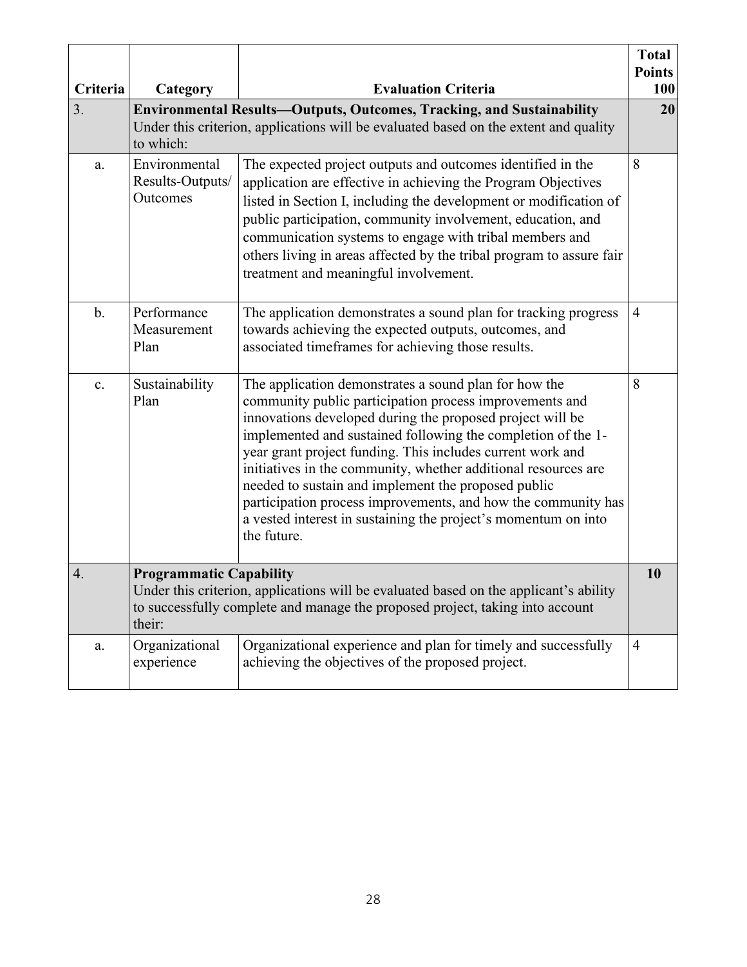| Criteria       | Category                                      | <b>Evaluation Criteria</b>                                                                                                                                                                                                                                                                                                                                                                                                                                                                                                                                                             | <b>Total</b><br><b>Points</b><br><b>100</b> |
|----------------|-----------------------------------------------|----------------------------------------------------------------------------------------------------------------------------------------------------------------------------------------------------------------------------------------------------------------------------------------------------------------------------------------------------------------------------------------------------------------------------------------------------------------------------------------------------------------------------------------------------------------------------------------|---------------------------------------------|
| 3.             | to which:                                     | <b>Environmental Results-Outputs, Outcomes, Tracking, and Sustainability</b><br>Under this criterion, applications will be evaluated based on the extent and quality                                                                                                                                                                                                                                                                                                                                                                                                                   | 20                                          |
| a.             | Environmental<br>Results-Outputs/<br>Outcomes | The expected project outputs and outcomes identified in the<br>application are effective in achieving the Program Objectives<br>listed in Section I, including the development or modification of<br>public participation, community involvement, education, and<br>communication systems to engage with tribal members and<br>others living in areas affected by the tribal program to assure fair<br>treatment and meaningful involvement.                                                                                                                                           | 8                                           |
| $\mathbf{b}$ . | Performance<br>Measurement<br>Plan            | The application demonstrates a sound plan for tracking progress<br>towards achieving the expected outputs, outcomes, and<br>associated timeframes for achieving those results.                                                                                                                                                                                                                                                                                                                                                                                                         | $\overline{4}$                              |
| c.             | Sustainability<br>Plan                        | The application demonstrates a sound plan for how the<br>community public participation process improvements and<br>innovations developed during the proposed project will be<br>implemented and sustained following the completion of the 1-<br>year grant project funding. This includes current work and<br>initiatives in the community, whether additional resources are<br>needed to sustain and implement the proposed public<br>participation process improvements, and how the community has<br>a vested interest in sustaining the project's momentum on into<br>the future. |                                             |
| 4.             | <b>Programmatic Capability</b><br>their:      | Under this criterion, applications will be evaluated based on the applicant's ability<br>to successfully complete and manage the proposed project, taking into account                                                                                                                                                                                                                                                                                                                                                                                                                 | 10                                          |
| a.             | Organizational<br>experience                  | Organizational experience and plan for timely and successfully<br>$\overline{4}$<br>achieving the objectives of the proposed project.                                                                                                                                                                                                                                                                                                                                                                                                                                                  |                                             |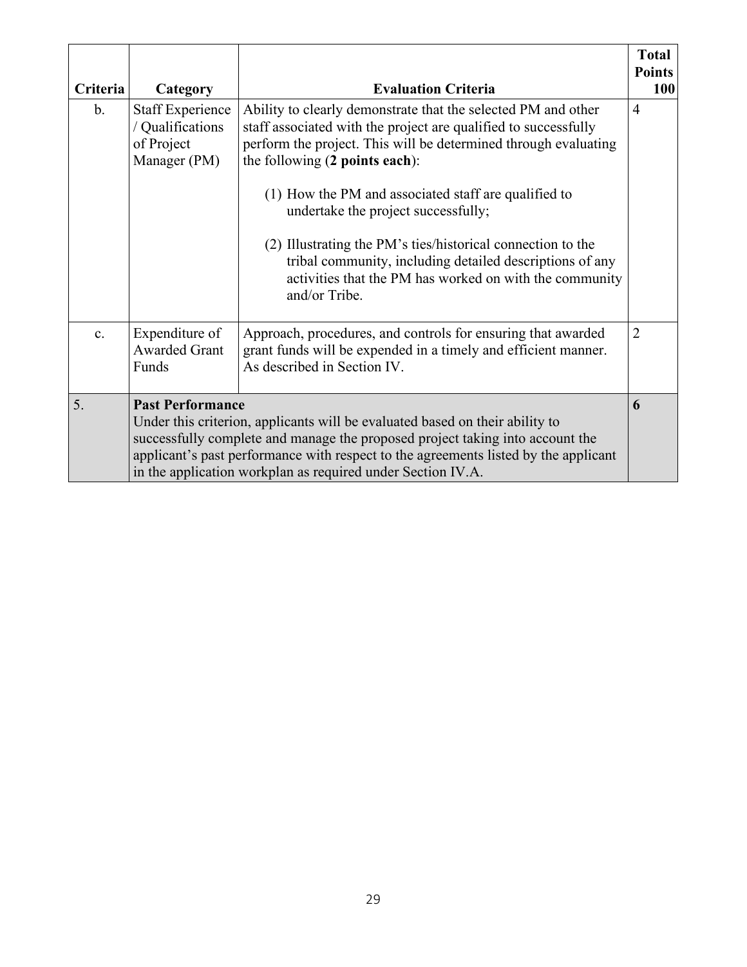| Criteria       | Category                                                                  | <b>Evaluation Criteria</b>                                                                                                                                                                                                                                                                                                                                                                                                                                                                                                                  | <b>Total</b><br><b>Points</b><br>100 |
|----------------|---------------------------------------------------------------------------|---------------------------------------------------------------------------------------------------------------------------------------------------------------------------------------------------------------------------------------------------------------------------------------------------------------------------------------------------------------------------------------------------------------------------------------------------------------------------------------------------------------------------------------------|--------------------------------------|
| $\mathbf{b}$ . | <b>Staff Experience</b><br>/ Qualifications<br>of Project<br>Manager (PM) | Ability to clearly demonstrate that the selected PM and other<br>staff associated with the project are qualified to successfully<br>perform the project. This will be determined through evaluating<br>the following (2 points each):<br>(1) How the PM and associated staff are qualified to<br>undertake the project successfully;<br>(2) Illustrating the PM's ties/historical connection to the<br>tribal community, including detailed descriptions of any<br>activities that the PM has worked on with the community<br>and/or Tribe. | $\overline{4}$                       |
| c.             | Expenditure of<br><b>Awarded Grant</b><br>Funds                           | Approach, procedures, and controls for ensuring that awarded<br>grant funds will be expended in a timely and efficient manner.<br>As described in Section IV.                                                                                                                                                                                                                                                                                                                                                                               | $\overline{2}$                       |
| 5.             | <b>Past Performance</b>                                                   | Under this criterion, applicants will be evaluated based on their ability to<br>successfully complete and manage the proposed project taking into account the<br>applicant's past performance with respect to the agreements listed by the applicant<br>in the application workplan as required under Section IV.A.                                                                                                                                                                                                                         | 6                                    |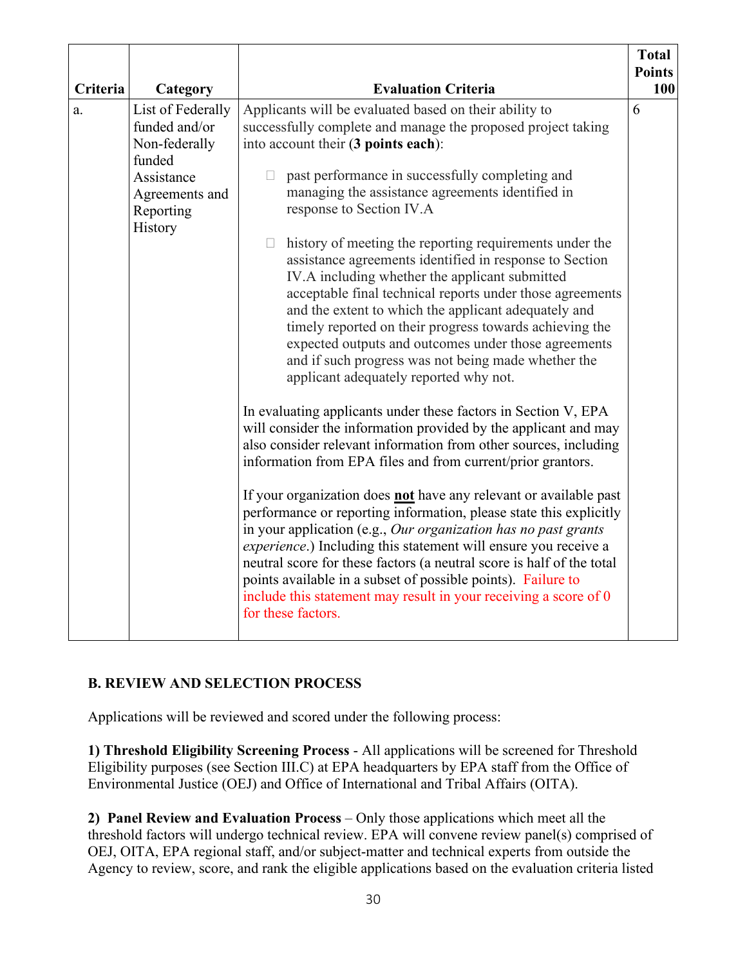| Criteria | Category                                                                                                              | <b>Evaluation Criteria</b>                                                                                                                                                                                                                                                                                                                                                                                                                                                                                                                                                                                                                                                                                                                                                                                                                                                                                                                                                                                                                                                                                                                                                                                                                                                                                                                                                                                                                                                                                                                                                                                        | <b>Total</b><br><b>Points</b><br>100 |
|----------|-----------------------------------------------------------------------------------------------------------------------|-------------------------------------------------------------------------------------------------------------------------------------------------------------------------------------------------------------------------------------------------------------------------------------------------------------------------------------------------------------------------------------------------------------------------------------------------------------------------------------------------------------------------------------------------------------------------------------------------------------------------------------------------------------------------------------------------------------------------------------------------------------------------------------------------------------------------------------------------------------------------------------------------------------------------------------------------------------------------------------------------------------------------------------------------------------------------------------------------------------------------------------------------------------------------------------------------------------------------------------------------------------------------------------------------------------------------------------------------------------------------------------------------------------------------------------------------------------------------------------------------------------------------------------------------------------------------------------------------------------------|--------------------------------------|
| a.       | List of Federally<br>funded and/or<br>Non-federally<br>funded<br>Assistance<br>Agreements and<br>Reporting<br>History | Applicants will be evaluated based on their ability to<br>successfully complete and manage the proposed project taking<br>into account their (3 points each):<br>past performance in successfully completing and<br>managing the assistance agreements identified in<br>response to Section IV.A<br>history of meeting the reporting requirements under the<br>П<br>assistance agreements identified in response to Section<br>IV.A including whether the applicant submitted<br>acceptable final technical reports under those agreements<br>and the extent to which the applicant adequately and<br>timely reported on their progress towards achieving the<br>expected outputs and outcomes under those agreements<br>and if such progress was not being made whether the<br>applicant adequately reported why not.<br>In evaluating applicants under these factors in Section V, EPA<br>will consider the information provided by the applicant and may<br>also consider relevant information from other sources, including<br>information from EPA files and from current/prior grantors.<br>If your organization does not have any relevant or available past<br>performance or reporting information, please state this explicitly<br>in your application (e.g., Our organization has no past grants<br>experience.) Including this statement will ensure you receive a<br>neutral score for these factors (a neutral score is half of the total<br>points available in a subset of possible points). Failure to<br>include this statement may result in your receiving a score of 0<br>for these factors. | 6                                    |

### **B. REVIEW AND SELECTION PROCESS**

Applications will be reviewed and scored under the following process:

**1) Threshold Eligibility Screening Process** - All applications will be screened for Threshold Eligibility purposes (see Section III.C) at EPA headquarters by EPA staff from the Office of Environmental Justice (OEJ) and Office of International and Tribal Affairs (OITA).

**2) Panel Review and Evaluation Process** – Only those applications which meet all the threshold factors will undergo technical review. EPA will convene review panel(s) comprised of OEJ, OITA, EPA regional staff, and/or subject-matter and technical experts from outside the Agency to review, score, and rank the eligible applications based on the evaluation criteria listed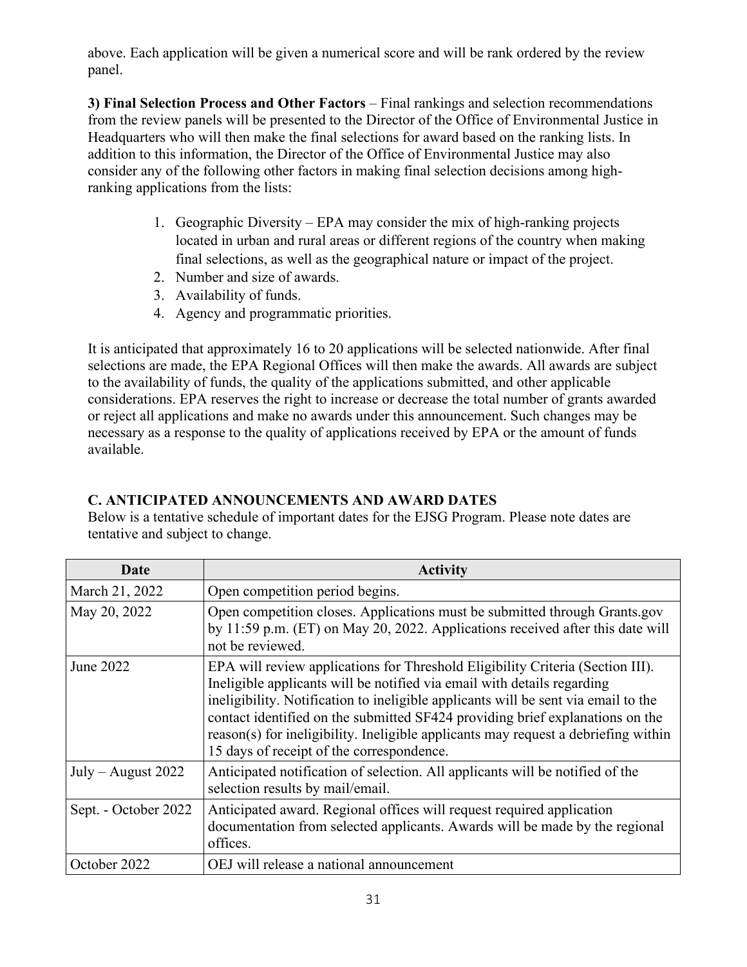above. Each application will be given a numerical score and will be rank ordered by the review panel.

**3) Final Selection Process and Other Factors** – Final rankings and selection recommendations from the review panels will be presented to the Director of the Office of Environmental Justice in Headquarters who will then make the final selections for award based on the ranking lists. In addition to this information, the Director of the Office of Environmental Justice may also consider any of the following other factors in making final selection decisions among highranking applications from the lists:

- 1. Geographic Diversity EPA may consider the mix of high-ranking projects located in urban and rural areas or different regions of the country when making final selections, as well as the geographical nature or impact of the project.
- 2. Number and size of awards.
- 3. Availability of funds.
- 4. Agency and programmatic priorities.

It is anticipated that approximately 16 to 20 applications will be selected nationwide. After final selections are made, the EPA Regional Offices will then make the awards. All awards are subject to the availability of funds, the quality of the applications submitted, and other applicable considerations. EPA reserves the right to increase or decrease the total number of grants awarded or reject all applications and make no awards under this announcement. Such changes may be necessary as a response to the quality of applications received by EPA or the amount of funds available.

## **C. ANTICIPATED ANNOUNCEMENTS AND AWARD DATES**

Below is a tentative schedule of important dates for the EJSG Program. Please note dates are tentative and subject to change.

| Date                 | <b>Activity</b>                                                                                                                                                                                                                                                                                                                                                                                                                                                     |
|----------------------|---------------------------------------------------------------------------------------------------------------------------------------------------------------------------------------------------------------------------------------------------------------------------------------------------------------------------------------------------------------------------------------------------------------------------------------------------------------------|
| March 21, 2022       | Open competition period begins.                                                                                                                                                                                                                                                                                                                                                                                                                                     |
| May 20, 2022         | Open competition closes. Applications must be submitted through Grants.gov<br>by 11:59 p.m. (ET) on May 20, 2022. Applications received after this date will<br>not be reviewed.                                                                                                                                                                                                                                                                                    |
| June 2022            | EPA will review applications for Threshold Eligibility Criteria (Section III).<br>Ineligible applicants will be notified via email with details regarding<br>ineligibility. Notification to ineligible applicants will be sent via email to the<br>contact identified on the submitted SF424 providing brief explanations on the<br>reason(s) for ineligibility. Ineligible applicants may request a debriefing within<br>15 days of receipt of the correspondence. |
| $July - August 2022$ | Anticipated notification of selection. All applicants will be notified of the<br>selection results by mail/email.                                                                                                                                                                                                                                                                                                                                                   |
| Sept. - October 2022 | Anticipated award. Regional offices will request required application<br>documentation from selected applicants. Awards will be made by the regional<br>offices.                                                                                                                                                                                                                                                                                                    |
| October 2022         | OEJ will release a national announcement                                                                                                                                                                                                                                                                                                                                                                                                                            |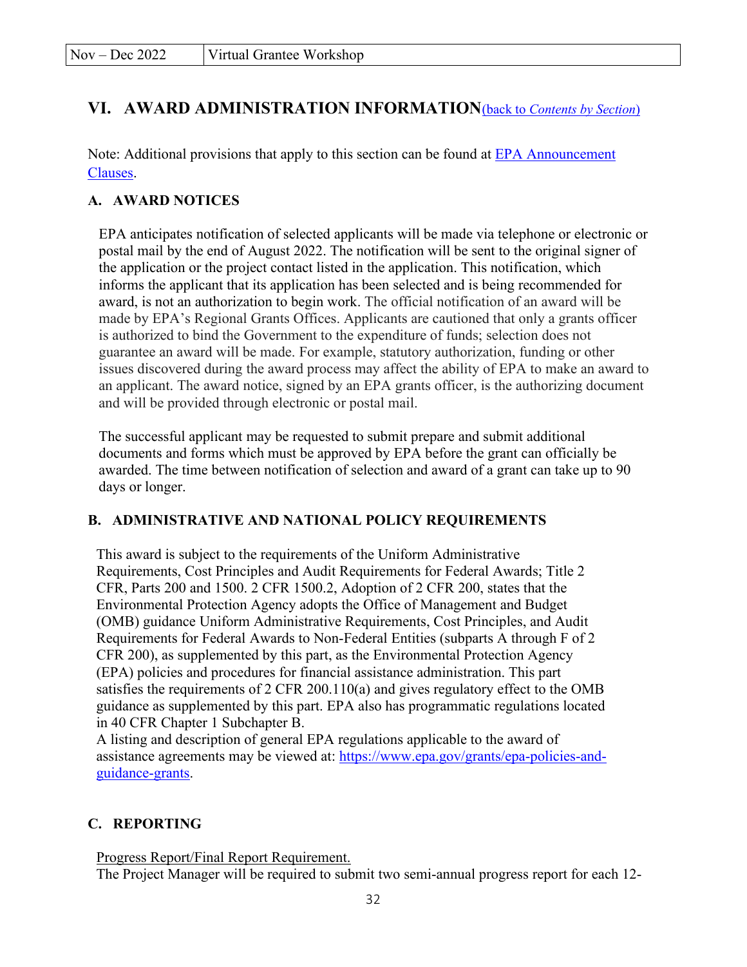## <span id="page-31-0"></span>**VI. AWARD ADMINISTRATION INFORMATION**(back to *[Contents by Section](#page-0-1)*)

Note: Additional provisions that apply to this section can be found at [EPA Announcement](https://www.epa.gov/grants/epa-solicitation-clauses) [Clauses.](https://www.epa.gov/grants/epa-solicitation-clauses)

### **A. AWARD NOTICES**

EPA anticipates notification of selected applicants will be made via telephone or electronic or postal mail by the end of August 2022. The notification will be sent to the original signer of the application or the project contact listed in the application. This notification, which informs the applicant that its application has been selected and is being recommended for award, is not an authorization to begin work. The official notification of an award will be made by EPA's Regional Grants Offices. Applicants are cautioned that only a grants officer is authorized to bind the Government to the expenditure of funds; selection does not guarantee an award will be made. For example, statutory authorization, funding or other issues discovered during the award process may affect the ability of EPA to make an award to an applicant. The award notice, signed by an EPA grants officer, is the authorizing document and will be provided through electronic or postal mail.

The successful applicant may be requested to submit prepare and submit additional documents and forms which must be approved by EPA before the grant can officially be awarded. The time between notification of selection and award of a grant can take up to 90 days or longer.

### **B. ADMINISTRATIVE AND NATIONAL POLICY REQUIREMENTS**

This award is subject to the requirements of the Uniform Administrative Requirements, Cost Principles and Audit Requirements for Federal Awards; Title 2 CFR, Parts 200 and 1500. 2 CFR 1500.2, Adoption of 2 CFR 200, states that the Environmental Protection Agency adopts the Office of Management and Budget (OMB) guidance Uniform Administrative Requirements, Cost Principles, and Audit Requirements for Federal Awards to Non-Federal Entities (subparts A through F of 2 CFR 200), as supplemented by this part, as the Environmental Protection Agency (EPA) policies and procedures for financial assistance administration. This part satisfies the requirements of 2 CFR 200.110(a) and gives regulatory effect to the OMB guidance as supplemented by this part. EPA also has programmatic regulations located in 40 CFR Chapter 1 Subchapter B.

A listing and description of general EPA regulations applicable to the award of assistance agreements may be viewed at: [https://www.epa.gov/grants/epa-policies-and](https://www.epa.gov/grants/epa-policies-and-guidance-grants)[guidance-grants.](https://www.epa.gov/grants/epa-policies-and-guidance-grants)

### **C. REPORTING**

Progress Report/Final Report Requirement.

The Project Manager will be required to submit two semi-annual progress report for each 12-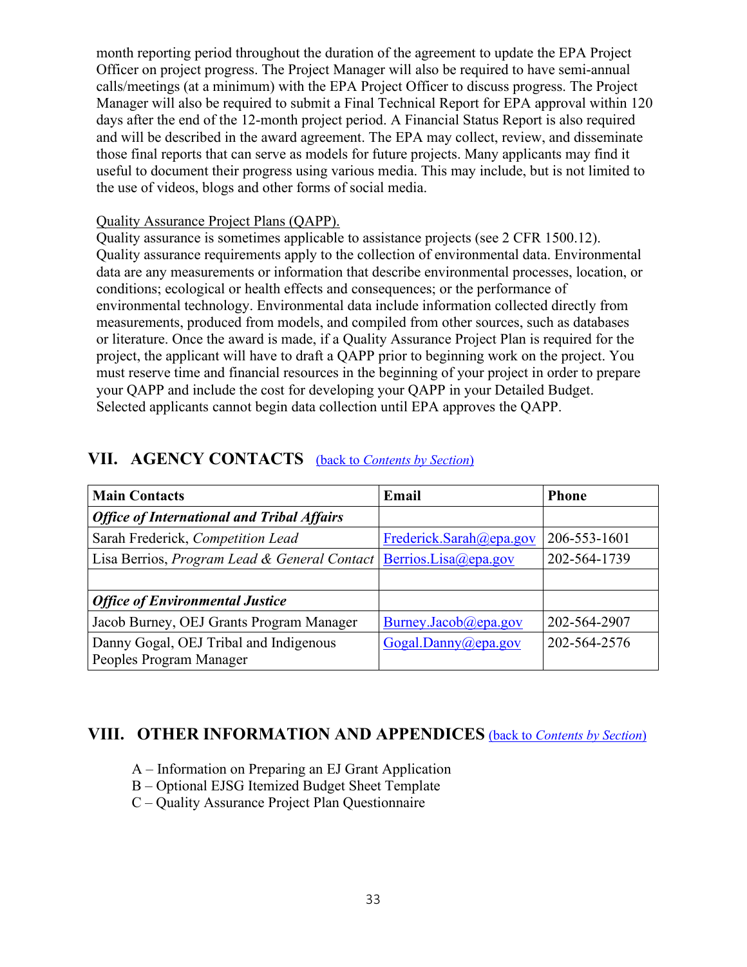month reporting period throughout the duration of the agreement to update the EPA Project Officer on project progress. The Project Manager will also be required to have semi-annual calls/meetings (at a minimum) with the EPA Project Officer to discuss progress. The Project Manager will also be required to submit a Final Technical Report for EPA approval within 120 days after the end of the 12-month project period. A Financial Status Report is also required and will be described in the award agreement. The EPA may collect, review, and disseminate those final reports that can serve as models for future projects. Many applicants may find it useful to document their progress using various media. This may include, but is not limited to the use of videos, blogs and other forms of social media.

#### Quality Assurance Project Plans (QAPP).

Quality assurance is sometimes applicable to assistance projects (see 2 CFR 1500.12). Quality assurance requirements apply to the collection of environmental data. Environmental data are any measurements or information that describe environmental processes, location, or conditions; ecological or health effects and consequences; or the performance of environmental technology. Environmental data include information collected directly from measurements, produced from models, and compiled from other sources, such as databases or literature. Once the award is made, if a Quality Assurance Project Plan is required for the project, the applicant will have to draft a QAPP prior to beginning work on the project. You must reserve time and financial resources in the beginning of your project in order to prepare your QAPP and include the cost for developing your QAPP in your Detailed Budget. Selected applicants cannot begin data collection until EPA approves the QAPP.

| <b>Main Contacts</b>                              | Email                   | <b>Phone</b> |
|---------------------------------------------------|-------------------------|--------------|
| <b>Office of International and Tribal Affairs</b> |                         |              |
| Sarah Frederick, Competition Lead                 | Frederick.Sarah@epa.gov | 206-553-1601 |
| Lisa Berrios, Program Lead & General Contact      | Berrios.Lisa@epa.gov    | 202-564-1739 |
|                                                   |                         |              |
| <b>Office of Environmental Justice</b>            |                         |              |
| Jacob Burney, OEJ Grants Program Manager          | Burney.Jacob@epa.gov    | 202-564-2907 |
| Danny Gogal, OEJ Tribal and Indigenous            | Gogal.Danny@epa.gov     | 202-564-2576 |
| Peoples Program Manager                           |                         |              |

## <span id="page-32-0"></span>**VII. AGENCY CONTACTS** (back to *[Contents by Section](#page-0-1)*)

## **VIII. OTHER INFORMATION AND APPENDICES** (back to *[Contents by Section](#page-0-1)*)

- <span id="page-32-1"></span>A – Information on Preparing an EJ Grant Application
- B Optional EJSG Itemized Budget Sheet Template
- C Quality Assurance Project Plan Questionnaire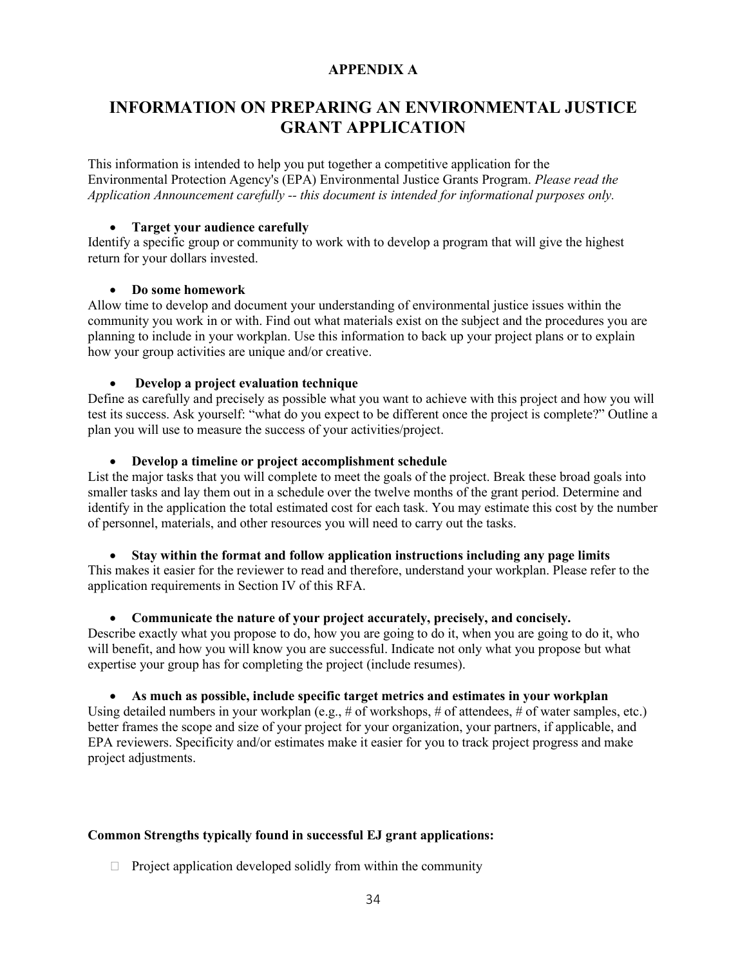#### **APPENDIX A**

## **INFORMATION ON PREPARING AN ENVIRONMENTAL JUSTICE GRANT APPLICATION**

This information is intended to help you put together a competitive application for the Environmental Protection Agency's (EPA) Environmental Justice Grants Program. *Please read the Application Announcement carefully -- this document is intended for informational purposes only.*

#### • **Target your audience carefully**

Identify a specific group or community to work with to develop a program that will give the highest return for your dollars invested.

#### • **Do some homework**

Allow time to develop and document your understanding of environmental justice issues within the community you work in or with. Find out what materials exist on the subject and the procedures you are planning to include in your workplan. Use this information to back up your project plans or to explain how your group activities are unique and/or creative.

#### • **Develop a project evaluation technique**

Define as carefully and precisely as possible what you want to achieve with this project and how you will test its success. Ask yourself: "what do you expect to be different once the project is complete?" Outline a plan you will use to measure the success of your activities/project.

#### • **Develop a timeline or project accomplishment schedule**

List the major tasks that you will complete to meet the goals of the project. Break these broad goals into smaller tasks and lay them out in a schedule over the twelve months of the grant period. Determine and identify in the application the total estimated cost for each task. You may estimate this cost by the number of personnel, materials, and other resources you will need to carry out the tasks.

#### • **Stay within the format and follow application instructions including any page limits**

This makes it easier for the reviewer to read and therefore, understand your workplan. Please refer to the application requirements in Section IV of this RFA.

#### • **Communicate the nature of your project accurately, precisely, and concisely.**

Describe exactly what you propose to do, how you are going to do it, when you are going to do it, who will benefit, and how you will know you are successful. Indicate not only what you propose but what expertise your group has for completing the project (include resumes).

#### • **As much as possible, include specific target metrics and estimates in your workplan**

Using detailed numbers in your workplan (e.g., # of workshops, # of attendees, # of water samples, etc.) better frames the scope and size of your project for your organization, your partners, if applicable, and EPA reviewers. Specificity and/or estimates make it easier for you to track project progress and make project adjustments.

#### **Common Strengths typically found in successful EJ grant applications:**

 $\Box$  Project application developed solidly from within the community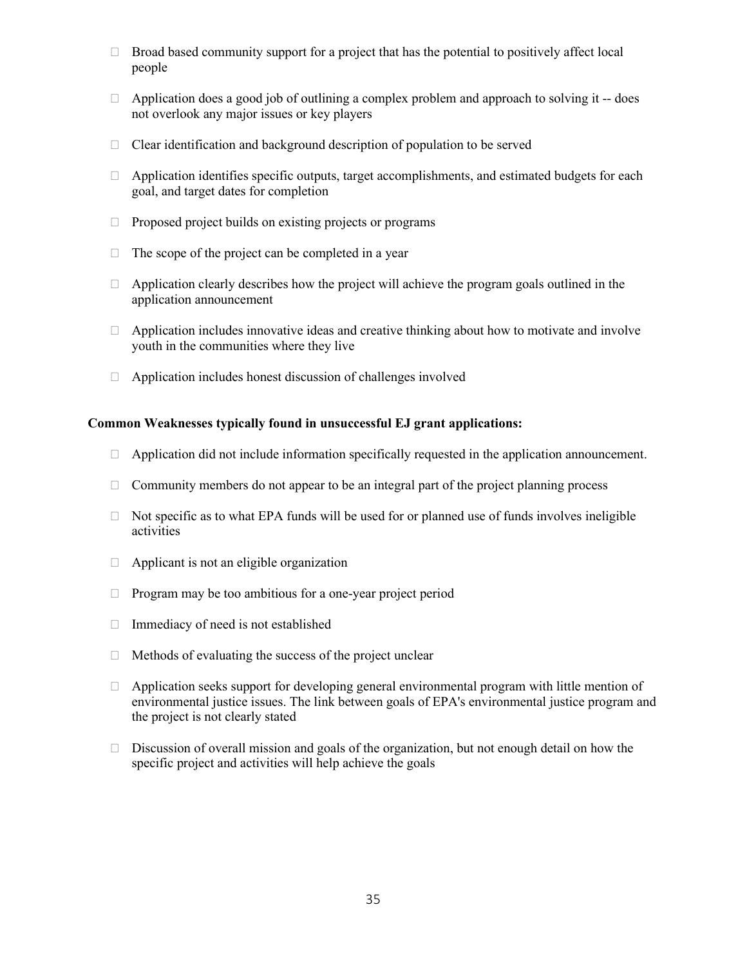- $\Box$  Broad based community support for a project that has the potential to positively affect local people
- $\Box$  Application does a good job of outlining a complex problem and approach to solving it -- does not overlook any major issues or key players
- $\Box$  Clear identification and background description of population to be served
- $\Box$  Application identifies specific outputs, target accomplishments, and estimated budgets for each goal, and target dates for completion
- $\Box$  Proposed project builds on existing projects or programs
- $\Box$  The scope of the project can be completed in a year
- $\Box$  Application clearly describes how the project will achieve the program goals outlined in the application announcement
- $\Box$  Application includes innovative ideas and creative thinking about how to motivate and involve youth in the communities where they live
- $\Box$  Application includes honest discussion of challenges involved

#### **Common Weaknesses typically found in unsuccessful EJ grant applications:**

- $\Box$  Application did not include information specifically requested in the application announcement.
- $\Box$  Community members do not appear to be an integral part of the project planning process
- $\Box$  Not specific as to what EPA funds will be used for or planned use of funds involves ineligible activities
- $\Box$  Applicant is not an eligible organization
- $\Box$  Program may be too ambitious for a one-year project period
- $\Box$  Immediacy of need is not established
- $\Box$  Methods of evaluating the success of the project unclear
- $\Box$  Application seeks support for developing general environmental program with little mention of environmental justice issues. The link between goals of EPA's environmental justice program and the project is not clearly stated
- $\Box$  Discussion of overall mission and goals of the organization, but not enough detail on how the specific project and activities will help achieve the goals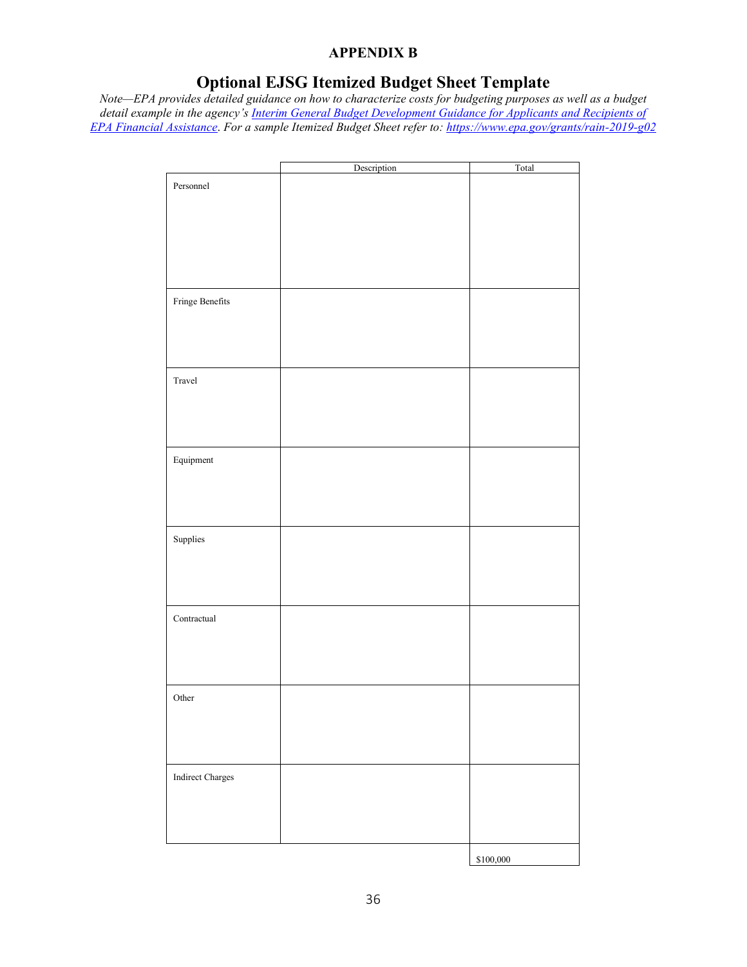#### **APPENDIX B**

# **Optional EJSG Itemized Budget Sheet Template**

*Note—EPA provides detailed guidance on how to characterize costs for budgeting purposes as well as a budget detail example in the agency's [Interim General Budget Development Guidance for Applicants and Recipients of](https://www.epa.gov/grants/rain-2019-g02)  [EPA Financial Assistance](https://www.epa.gov/grants/rain-2019-g02)*. *For a sample Itemized Budget Sheet refer to:<https://www.epa.gov/grants/rain-2019-g02>*

|                  | Description | Total     |
|------------------|-------------|-----------|
| Personnel        |             |           |
|                  |             |           |
|                  |             |           |
|                  |             |           |
|                  |             |           |
|                  |             |           |
|                  |             |           |
|                  |             |           |
|                  |             |           |
|                  |             |           |
| Fringe Benefits  |             |           |
|                  |             |           |
|                  |             |           |
|                  |             |           |
|                  |             |           |
|                  |             |           |
|                  |             |           |
| Travel           |             |           |
|                  |             |           |
|                  |             |           |
|                  |             |           |
|                  |             |           |
|                  |             |           |
| Equipment        |             |           |
|                  |             |           |
|                  |             |           |
|                  |             |           |
|                  |             |           |
|                  |             |           |
|                  |             |           |
| Supplies         |             |           |
|                  |             |           |
|                  |             |           |
|                  |             |           |
|                  |             |           |
|                  |             |           |
| Contractual      |             |           |
|                  |             |           |
|                  |             |           |
|                  |             |           |
|                  |             |           |
|                  |             |           |
|                  |             |           |
| Other            |             |           |
|                  |             |           |
|                  |             |           |
|                  |             |           |
|                  |             |           |
|                  |             |           |
|                  |             |           |
| Indirect Charges |             |           |
|                  |             |           |
|                  |             |           |
|                  |             |           |
|                  |             |           |
|                  |             |           |
|                  |             |           |
|                  |             | \$100,000 |